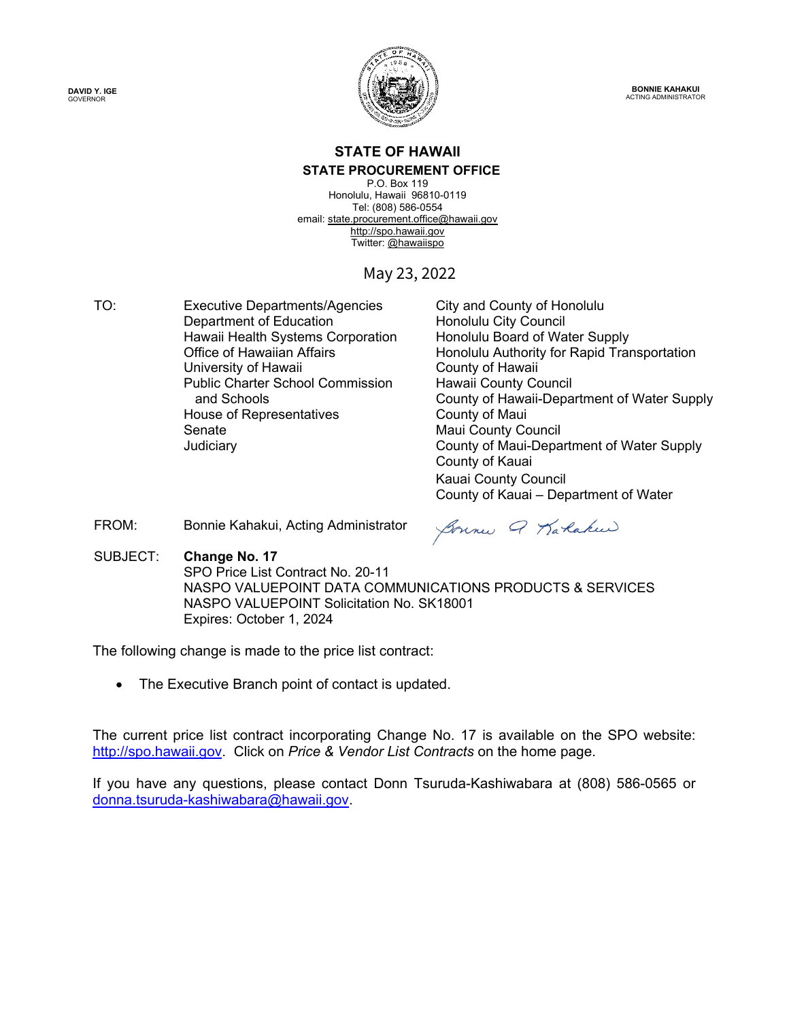**DAVID Y. IGE** GOVERNOR



**BONNIE KAHAKUI** ACTING ADMINISTRATOR

#### **STATE OF HAWAII STATE PROCUREMENT OFFICE**

P.O. Box 119 Honolulu, Hawaii 96810-0119 Tel: (808) 586-0554 email[: state.procurement.office@hawaii.gov](mailto:state.procurement.office@hawaii.gov)  [http://spo.hawaii.gov](http://spo.hawaii.gov/)  Twitter: [@hawaiispo](https://twitter.com/hawaiispo) 

# May 23, 2022

TO: Executive Departments/Agencies City and County of Honolulu Department of Education **Honolulu City Council** Hawaii Health Systems Corporation Honolulu Board of Water Supply University of Hawaii **County of Hawaii** County of Hawaii Public Charter School Commission and Schools House of Representatives **Example 20 Figure 2018** County of Maui Senate Maui County Council

Office of Hawaiian Affairs Honolulu Authority for Rapid Transportation Hawaii County Council County of Hawaii-Department of Water Supply Judiciary County of Maui-Department of Water Supply County of Kauai Kauai County Council County of Kauai – Department of Water

FROM: Bonnie Kahakui, Acting Administrator

Sonne Q Karlakeer

SUBJECT: **Change No. 17**

SPO Price List Contract No. 20-11 NASPO VALUEPOINT DATA COMMUNICATIONS PRODUCTS & SERVICES NASPO VALUEPOINT Solicitation No. SK18001 Expires: October 1, 2024

The following change is made to the price list contract:

• The Executive Branch point of contact is updated.

The current price list contract incorporating Change No. 17 is available on the SPO website: [http://spo.hawaii.gov.](http://spo.hawaii.gov/) Click on *Price & Vendor List Contracts* on the home page.

If you have any questions, please contact Donn Tsuruda-Kashiwabara at (808) 586-0565 or [donna.tsuruda-kashiwabara@hawaii.gov.](mailto:donna.tsuruda-kashiwabara@hawaii.gov)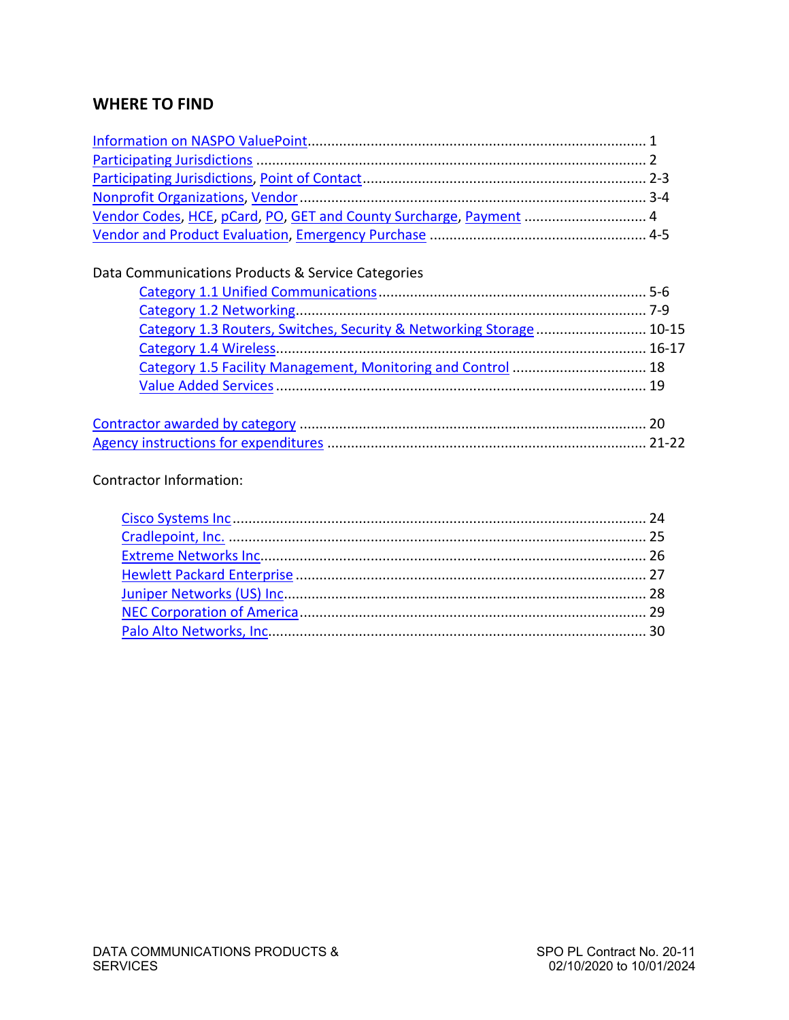# **WHERE TO FIND**

| Vendor Codes, HCE, pCard, PO, GET and County Surcharge, Payment  4  |  |
|---------------------------------------------------------------------|--|
|                                                                     |  |
|                                                                     |  |
| Data Communications Products & Service Categories                   |  |
|                                                                     |  |
|                                                                     |  |
| Category 1.3 Routers, Switches, Security & Networking Storage 10-15 |  |
|                                                                     |  |
| Category 1.5 Facility Management, Monitoring and Control  18        |  |
|                                                                     |  |
|                                                                     |  |
|                                                                     |  |
|                                                                     |  |
|                                                                     |  |
|                                                                     |  |

# Contractor Information: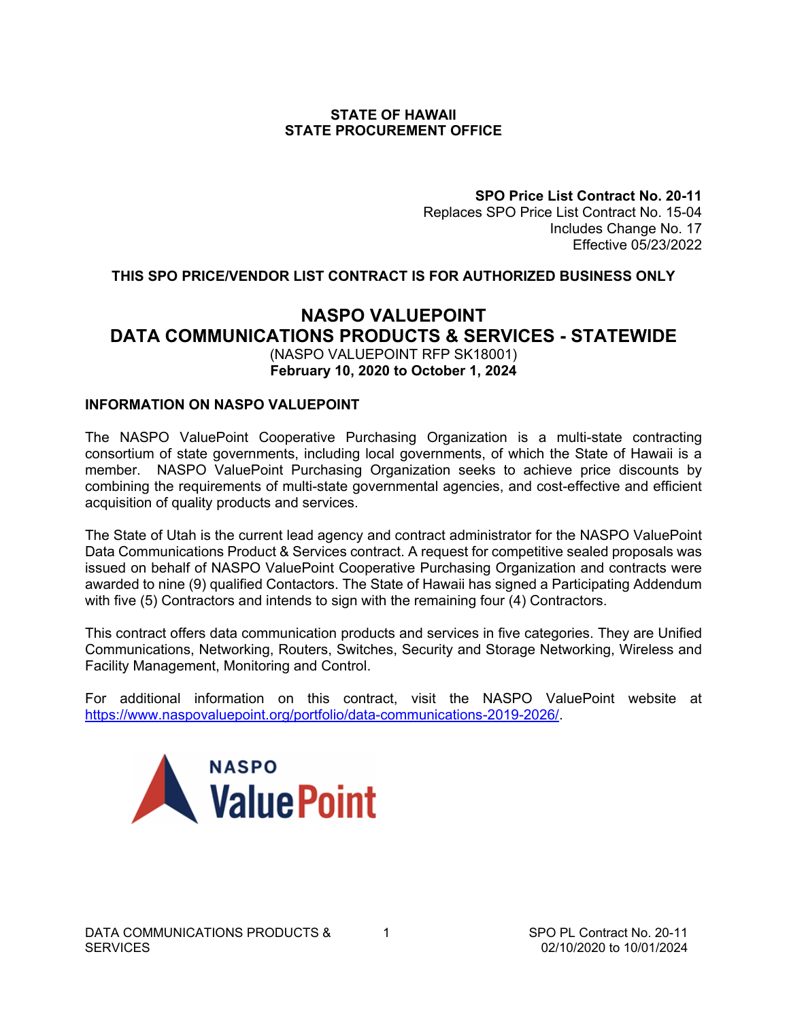#### **STATE OF HAWAII STATE PROCUREMENT OFFICE**

**SPO Price List Contract No. 20-11** Replaces SPO Price List Contract No. 15-04 Includes Change No. 17 Effective 05/23/2022

### <span id="page-2-0"></span>**THIS SPO PRICE/VENDOR LIST CONTRACT IS FOR AUTHORIZED BUSINESS ONLY**

# **NASPO VALUEPOINT DATA COMMUNICATIONS PRODUCTS & SERVICES - STATEWIDE**  (NASPO VALUEPOINT RFP SK18001) **February 10, 2020 to October 1, 2024**

#### **INFORMATION ON NASPO VALUEPOINT**

The NASPO ValuePoint Cooperative Purchasing Organization is a multi-state contracting consortium of state governments, including local governments, of which the State of Hawaii is a member. NASPO ValuePoint Purchasing Organization seeks to achieve price discounts by combining the requirements of multi-state governmental agencies, and cost-effective and efficient acquisition of quality products and services.

The State of Utah is the current lead agency and contract administrator for the NASPO ValuePoint Data Communications Product & Services contract. A request for competitive sealed proposals was issued on behalf of NASPO ValuePoint Cooperative Purchasing Organization and contracts were awarded to nine (9) qualified Contactors. The State of Hawaii has signed a Participating Addendum with five (5) Contractors and intends to sign with the remaining four (4) Contractors.

This contract offers data communication products and services in five categories. They are Unified Communications, Networking, Routers, Switches, Security and Storage Networking, Wireless and Facility Management, Monitoring and Control.

For additional information on this contract, visit the NASPO ValuePoint website at [https://www.naspovaluepoint.org/portfolio/data-communications-2019-2026/.](https://www.naspovaluepoint.org/portfolio/data-communications-2019-2026/)

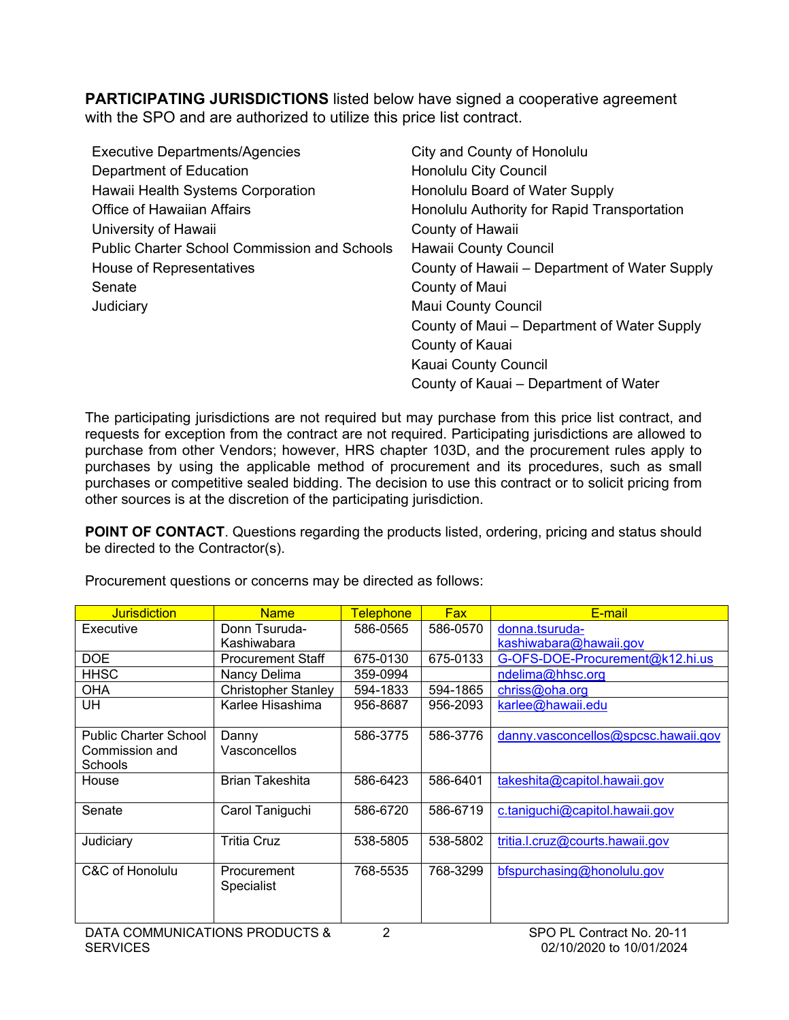<span id="page-3-0"></span>**PARTICIPATING JURISDICTIONS** listed below have signed a cooperative agreement with the SPO and are authorized to utilize this price list contract.

| <b>Executive Departments/Agencies</b>               | City and County of Honolulu                   |
|-----------------------------------------------------|-----------------------------------------------|
| Department of Education                             | <b>Honolulu City Council</b>                  |
| Hawaii Health Systems Corporation                   | Honolulu Board of Water Supply                |
| <b>Office of Hawaiian Affairs</b>                   | Honolulu Authority for Rapid Transportation   |
| University of Hawaii                                | County of Hawaii                              |
| <b>Public Charter School Commission and Schools</b> | <b>Hawaii County Council</b>                  |
| House of Representatives                            | County of Hawaii – Department of Water Supply |
| Senate                                              | County of Maui                                |
| Judiciary                                           | <b>Maui County Council</b>                    |
|                                                     | County of Maui – Department of Water Supply   |
|                                                     | County of Kauai                               |
|                                                     | Kauai County Council                          |
|                                                     | County of Kauai – Department of Water         |

The participating jurisdictions are not required but may purchase from this price list contract, and requests for exception from the contract are not required. Participating jurisdictions are allowed to purchase from other Vendors; however, HRS chapter 103D, and the procurement rules apply to purchases by using the applicable method of procurement and its procedures, such as small purchases or competitive sealed bidding. The decision to use this contract or to solicit pricing from other sources is at the discretion of the participating jurisdiction.

**POINT OF CONTACT**. Questions regarding the products listed, ordering, pricing and status should be directed to the Contractor(s).

| <b>Jurisdiction</b>          | <b>Name</b>                | <b>Telephone</b> | <b>Fax</b> | E-mail                              |
|------------------------------|----------------------------|------------------|------------|-------------------------------------|
| Executive                    | Donn Tsuruda-              | 586-0565         | 586-0570   | donna.tsuruda-                      |
|                              | Kashiwabara                |                  |            | kashiwabara@hawaii.gov              |
| <b>DOE</b>                   | Procurement Staff          | 675-0130         | 675-0133   | G-OFS-DOE-Procurement@k12.hi.us     |
| <b>HHSC</b>                  | Nancy Delima               | 359-0994         |            | ndelima@hhsc.org                    |
| <b>OHA</b>                   | <b>Christopher Stanley</b> | 594-1833         | 594-1865   | chriss@oha.org                      |
| <b>UH</b>                    | Karlee Hisashima           | 956-8687         | 956-2093   | karlee@hawaii.edu                   |
|                              |                            |                  |            |                                     |
| <b>Public Charter School</b> | Danny                      | 586-3775         | 586-3776   | danny.vasconcellos@spcsc.hawaii.gov |
| Commission and               | Vasconcellos               |                  |            |                                     |
| <b>Schools</b>               |                            |                  |            |                                     |
| House                        | <b>Brian Takeshita</b>     | 586-6423         | 586-6401   | takeshita@capitol.hawaii.gov        |
|                              |                            |                  |            |                                     |
| Senate                       | Carol Taniguchi            | 586-6720         | 586-6719   | c.taniguchi@capitol.hawaii.gov      |
|                              |                            |                  |            |                                     |
| Judiciary                    | <b>Tritia Cruz</b>         | 538-5805         | 538-5802   | tritia.l.cruz@courts.hawaii.gov     |
|                              |                            |                  |            |                                     |
| C&C of Honolulu              | Procurement                | 768-5535         | 768-3299   | bfspurchasing@honolulu.gov          |
|                              | Specialist                 |                  |            |                                     |
|                              |                            |                  |            |                                     |
|                              |                            |                  |            |                                     |

Procurement questions or concerns may be directed as follows: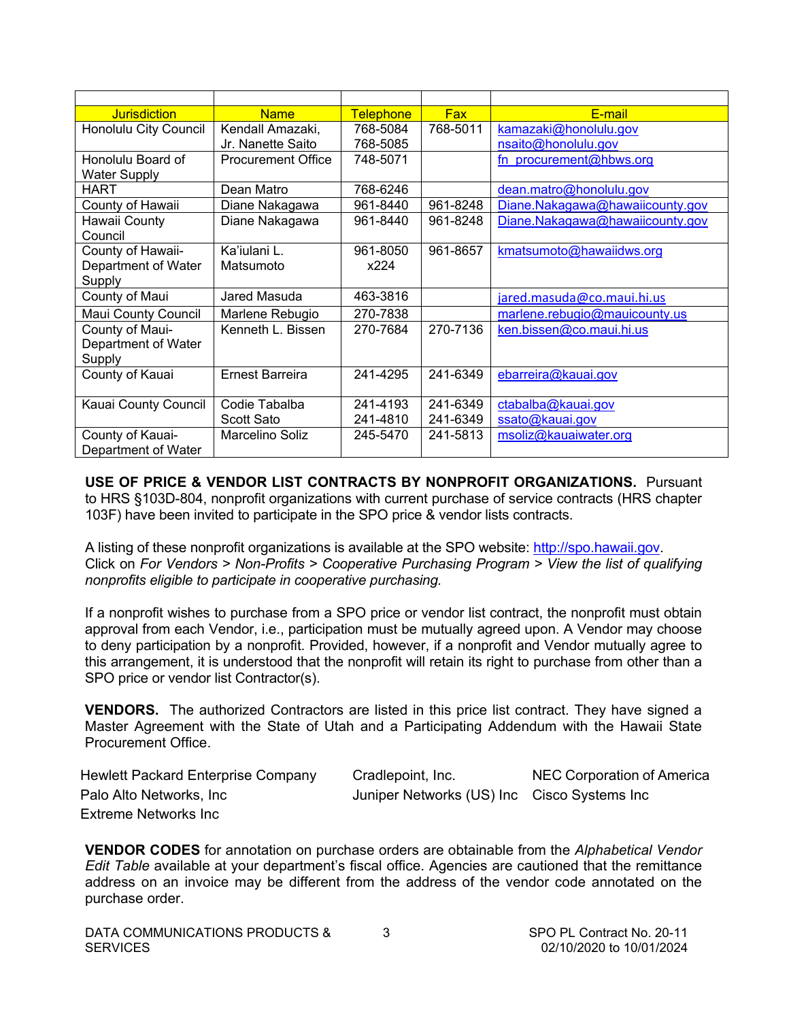<span id="page-4-0"></span>

| <b>Jurisdiction</b>   | <b>Name</b>               | <b>Telephone</b> | <b>Fax</b> | E-mail                          |
|-----------------------|---------------------------|------------------|------------|---------------------------------|
| Honolulu City Council | Kendall Amazaki,          | 768-5084         | 768-5011   | kamazaki@honolulu.gov           |
|                       | Jr. Nanette Saito         | 768-5085         |            | nsaito@honolulu.gov             |
| Honolulu Board of     | <b>Procurement Office</b> | 748-5071         |            | fn procurement@hbws.org         |
| <b>Water Supply</b>   |                           |                  |            |                                 |
| <b>HART</b>           | Dean Matro                | 768-6246         |            | dean.matro@honolulu.gov         |
| County of Hawaii      | Diane Nakagawa            | 961-8440         | 961-8248   | Diane.Nakagawa@hawaiicounty.gov |
| Hawaii County         | Diane Nakagawa            | 961-8440         | 961-8248   | Diane.Nakagawa@hawaiicounty.gov |
| Council               |                           |                  |            |                                 |
| County of Hawaii-     | Ka'iulani L.              | 961-8050         | 961-8657   | kmatsumoto@hawaiidws.org        |
| Department of Water   | Matsumoto                 | x224             |            |                                 |
| Supply                |                           |                  |            |                                 |
| County of Maui        | Jared Masuda              | 463-3816         |            | jared.masuda@co.maui.hi.us      |
| Maui County Council   | Marlene Rebugio           | 270-7838         |            | marlene.rebugio@mauicounty.us   |
| County of Maui-       | Kenneth L. Bissen         | 270-7684         | 270-7136   | ken.bissen@co.maui.hi.us        |
| Department of Water   |                           |                  |            |                                 |
| Supply                |                           |                  |            |                                 |
| County of Kauai       | <b>Ernest Barreira</b>    | 241-4295         | 241-6349   | ebarreira@kauai.gov             |
|                       |                           |                  |            |                                 |
| Kauai County Council  | Codie Tabalba             | 241-4193         | 241-6349   | ctabalba@kauai.gov              |
|                       | <b>Scott Sato</b>         | 241-4810         | 241-6349   | ssato@kauai.gov                 |
| County of Kauai-      | Marcelino Soliz           | 245-5470         | 241-5813   | msoliz@kauaiwater.org           |
| Department of Water   |                           |                  |            |                                 |

**USE OF PRICE & VENDOR LIST CONTRACTS BY NONPROFIT ORGANIZATIONS.** Pursuant to HRS §103D-804, nonprofit organizations with current purchase of service contracts (HRS chapter 103F) have been invited to participate in the SPO price & vendor lists contracts.

A listing of these nonprofit organizations is available at the SPO website: [http://spo.hawaii.gov.](http://spo.hawaii.gov/) Click on *For Vendors > Non-Profits > Cooperative Purchasing Program > View the list of qualifying nonprofits eligible to participate in cooperative purchasing.*

If a nonprofit wishes to purchase from a SPO price or vendor list contract, the nonprofit must obtain approval from each Vendor, i.e., participation must be mutually agreed upon. A Vendor may choose to deny participation by a nonprofit. Provided, however, if a nonprofit and Vendor mutually agree to this arrangement, it is understood that the nonprofit will retain its right to purchase from other than a SPO price or vendor list Contractor(s).

**VENDORS.** The authorized Contractors are listed in this price list contract. They have signed a Master Agreement with the State of Utah and a Participating Addendum with the Hawaii State Procurement Office.

| <b>Hewlett Packard Enterprise Company</b> | Cradlepoint, Inc.                           | NEC Corporation of America |
|-------------------------------------------|---------------------------------------------|----------------------------|
| Palo Alto Networks, Inc                   | Juniper Networks (US) Inc Cisco Systems Inc |                            |
| Extreme Networks Inc                      |                                             |                            |

**VENDOR CODES** for annotation on purchase orders are obtainable from the *Alphabetical Vendor Edit Table* available at your department's fiscal office. Agencies are cautioned that the remittance address on an invoice may be different from the address of the vendor code annotated on the purchase order.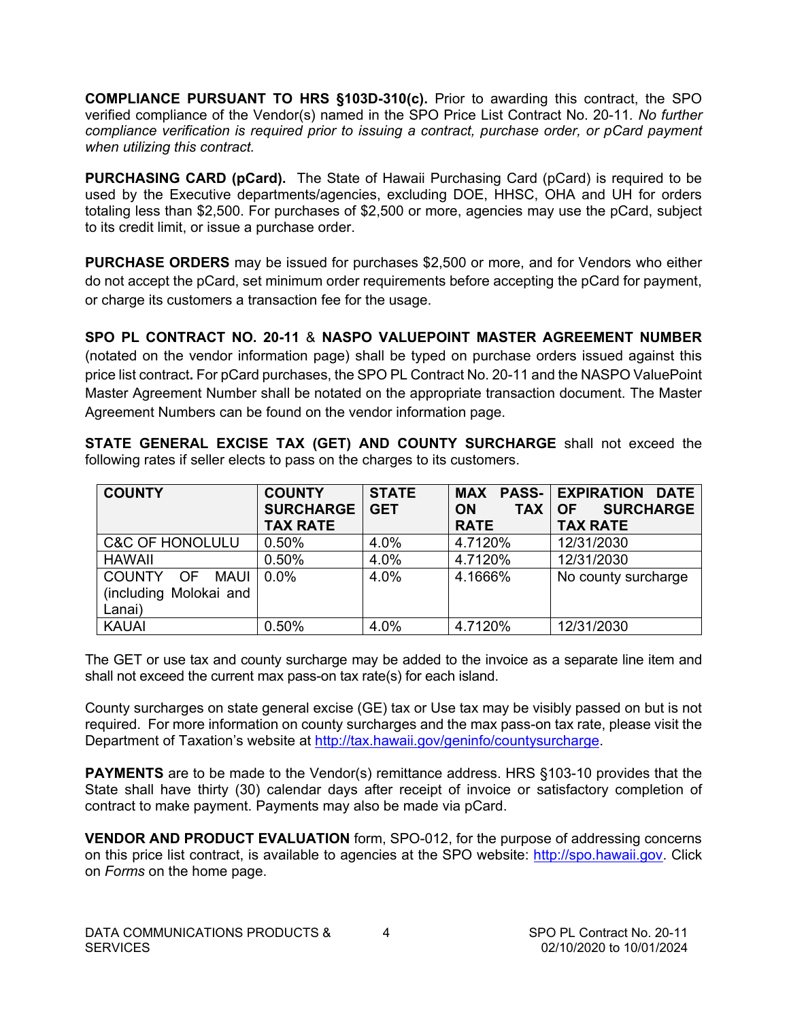<span id="page-5-0"></span>**COMPLIANCE PURSUANT TO HRS §103D-310(c).** Prior to awarding this contract, the SPO verified compliance of the Vendor(s) named in the SPO Price List Contract No. 20-11*. No further compliance verification is required prior to issuing a contract, purchase order, or pCard payment when utilizing this contract.*

**PURCHASING CARD (pCard).** The State of Hawaii Purchasing Card (pCard) is required to be used by the Executive departments/agencies, excluding DOE, HHSC, OHA and UH for orders totaling less than \$2,500. For purchases of \$2,500 or more, agencies may use the pCard, subject to its credit limit, or issue a purchase order.

**PURCHASE ORDERS** may be issued for purchases \$2,500 or more, and for Vendors who either do not accept the pCard, set minimum order requirements before accepting the pCard for payment, or charge its customers a transaction fee for the usage.

**SPO PL CONTRACT NO. 20-11** & **NASPO VALUEPOINT MASTER AGREEMENT NUMBER**  (notated on the vendor information page) shall be typed on purchase orders issued against this price list contract**.** For pCard purchases, the SPO PL Contract No. 20-11 and the NASPO ValuePoint Master Agreement Number shall be notated on the appropriate transaction document. The Master Agreement Numbers can be found on the vendor information page.

**STATE GENERAL EXCISE TAX (GET) AND COUNTY SURCHARGE** shall not exceed the following rates if seller elects to pass on the charges to its customers.

| <b>COUNTY</b>                                         | <b>COUNTY</b><br><b>SURCHARGE</b><br><b>TAX RATE</b> | <b>STATE</b><br><b>GET</b> | <b>TAX</b><br><b>ON</b><br><b>RATE</b> | <b>MAX PASS- EXPIRATION DATE</b><br><b>SURCHARGE</b><br><b>OF</b><br><b>TAX RATE</b> |
|-------------------------------------------------------|------------------------------------------------------|----------------------------|----------------------------------------|--------------------------------------------------------------------------------------|
| <b>C&amp;C OF HONOLULU</b>                            | 0.50%                                                | 4.0%                       | 4.7120%                                | 12/31/2030                                                                           |
| <b>HAWAII</b>                                         | 0.50%                                                | 4.0%                       | 4.7120%                                | 12/31/2030                                                                           |
| COUNTY OF<br>MAUI<br>(including Molokai and<br>Lanai) | 0.0%                                                 | 4.0%                       | 4.1666%                                | No county surcharge                                                                  |
| <b>KAUAI</b>                                          | 0.50%                                                | 4.0%                       | 4.7120%                                | 12/31/2030                                                                           |

The GET or use tax and county surcharge may be added to the invoice as a separate line item and shall not exceed the current max pass-on tax rate(s) for each island.

County surcharges on state general excise (GE) tax or Use tax may be visibly passed on but is not required. For more information on county surcharges and the max pass-on tax rate, please visit the Department of Taxation's website at [http://tax.hawaii.gov/geninfo/countysurcharge.](http://tax.hawaii.gov/geninfo/countysurcharge)

**PAYMENTS** are to be made to the Vendor(s) remittance address. HRS §103-10 provides that the State shall have thirty (30) calendar days after receipt of invoice or satisfactory completion of contract to make payment. Payments may also be made via pCard.

**VENDOR AND PRODUCT EVALUATION** form, SPO-012, for the purpose of addressing concerns on this price list contract, is available to agencies at the SPO website: [http://spo.hawaii.gov.](http://spo.hawaii.gov/) Click on *Forms* on the home page.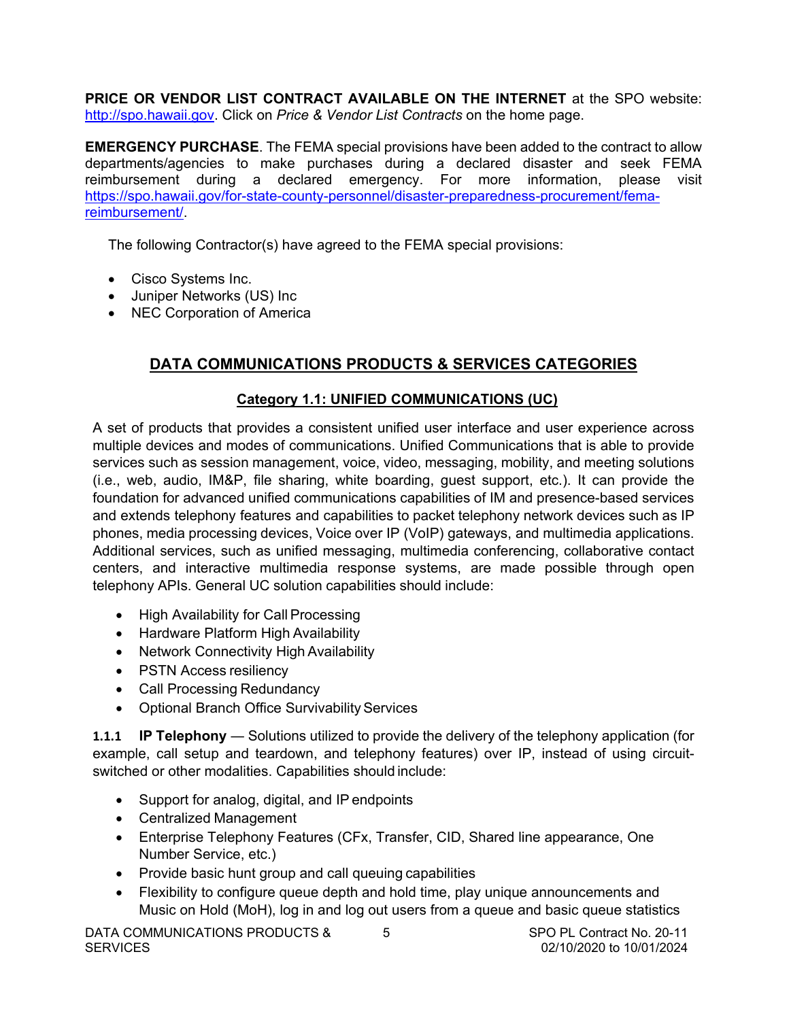<span id="page-6-0"></span>**PRICE OR VENDOR LIST CONTRACT AVAILABLE ON THE INTERNET** at the SPO website: [http://spo.hawaii.gov.](http://spo.hawaii.gov/) Click on *Price & Vendor List Contracts* on the home page.

**EMERGENCY PURCHASE**. The FEMA special provisions have been added to the contract to allow departments/agencies to make purchases during a declared disaster and seek FEMA reimbursement during a declared emergency. For more information, please visit [https://spo.hawaii.gov/for-state-county-personnel/disaster-preparedness-procurement/fema](https://spo.hawaii.gov/for-state-county-personnel/disaster-preparedness-procurement/fema-reimbursement/)[reimbursement/.](https://spo.hawaii.gov/for-state-county-personnel/disaster-preparedness-procurement/fema-reimbursement/)

The following Contractor(s) have agreed to the FEMA special provisions:

- Cisco Systems Inc.
- Juniper Networks (US) Inc
- NEC Corporation of America

# **DATA COMMUNICATIONS PRODUCTS & SERVICES CATEGORIES**

### **Category 1.1: UNIFIED COMMUNICATIONS (UC)**

A set of products that provides a consistent unified user interface and user experience across multiple devices and modes of communications. Unified Communications that is able to provide services such as session management, voice, video, messaging, mobility, and meeting solutions (i.e., web, audio, IM&P, file sharing, white boarding, guest support, etc.). It can provide the foundation for advanced unified communications capabilities of IM and presence-based services and extends telephony features and capabilities to packet telephony network devices such as IP phones, media processing devices, Voice over IP (VoIP) gateways, and multimedia applications. Additional services, such as unified messaging, multimedia conferencing, collaborative contact centers, and interactive multimedia response systems, are made possible through open telephony APIs. General UC solution capabilities should include:

- High Availability for Call Processing
- Hardware Platform High Availability
- Network Connectivity High Availability
- PSTN Access resiliency
- Call Processing Redundancy
- Optional Branch Office Survivability Services

**1.1.1 IP Telephony** — Solutions utilized to provide the delivery of the telephony application (for example, call setup and teardown, and telephony features) over IP, instead of using circuitswitched or other modalities. Capabilities should include:

- Support for analog, digital, and IP endpoints
- Centralized Management
- Enterprise Telephony Features (CFx, Transfer, CID, Shared line appearance, One Number Service, etc.)
- Provide basic hunt group and call queuing capabilities
- Flexibility to configure queue depth and hold time, play unique announcements and Music on Hold (MoH), log in and log out users from a queue and basic queue statistics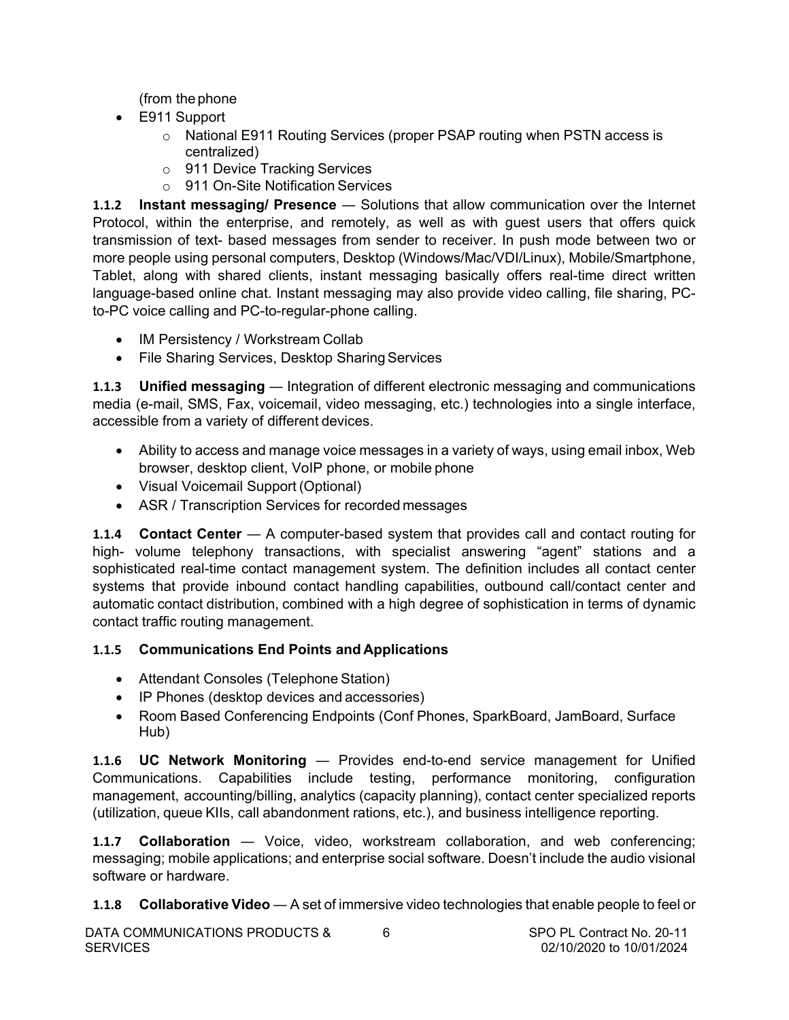(from thephone

- E911 Support
	- o National E911 Routing Services (proper PSAP routing when PSTN access is centralized)
	- o 911 Device Tracking Services
	- o 911 On-Site Notification Services

**1.1.2 Instant messaging/ Presence** ― Solutions that allow communication over the Internet Protocol, within the enterprise, and remotely, as well as with guest users that offers quick transmission of text- based messages from sender to receiver. In push mode between two or more people using personal computers, Desktop (Windows/Mac/VDI/Linux), Mobile/Smartphone, Tablet, along with shared clients, instant messaging basically offers real-time direct written language-based online chat. Instant messaging may also provide video calling, file sharing, PCto-PC voice calling and PC-to-regular-phone calling.

- IM Persistency / Workstream Collab
- File Sharing Services, Desktop Sharing Services

**1.1.3** Unified messaging — Integration of different electronic messaging and communications media (e-mail, SMS, Fax, voicemail, video messaging, etc.) technologies into a single interface, accessible from a variety of different devices.

- Ability to access and manage voice messages in a variety of ways, using email inbox, Web browser, desktop client, VoIP phone, or mobile phone
- Visual Voicemail Support (Optional)
- ASR / Transcription Services for recorded messages

**1.1.4 Contact Center** — A computer-based system that provides call and contact routing for high- volume telephony transactions, with specialist answering "agent" stations and a sophisticated real-time contact management system. The definition includes all contact center systems that provide inbound contact handling capabilities, outbound call/contact center and automatic contact distribution, combined with a high degree of sophistication in terms of dynamic contact traffic routing management.

# **1.1.5 Communications End Points and Applications**

- Attendant Consoles (Telephone Station)
- IP Phones (desktop devices and accessories)
- Room Based Conferencing Endpoints (Conf Phones, SparkBoard, JamBoard, Surface Hub)

**1.1.6 UC Network Monitoring** ― Provides end-to-end service management for Unified Communications. Capabilities include testing, performance monitoring, configuration management, accounting/billing, analytics (capacity planning), contact center specialized reports (utilization, queue KIIs, call abandonment rations, etc.), and business intelligence reporting.

**1.1.7 Collaboration** — Voice, video, workstream collaboration, and web conferencing; messaging; mobile applications; and enterprise social software. Doesn't include the audio visional software or hardware.

**1.1.8 Collaborative Video** ― A set of immersive video technologies that enable people to feel or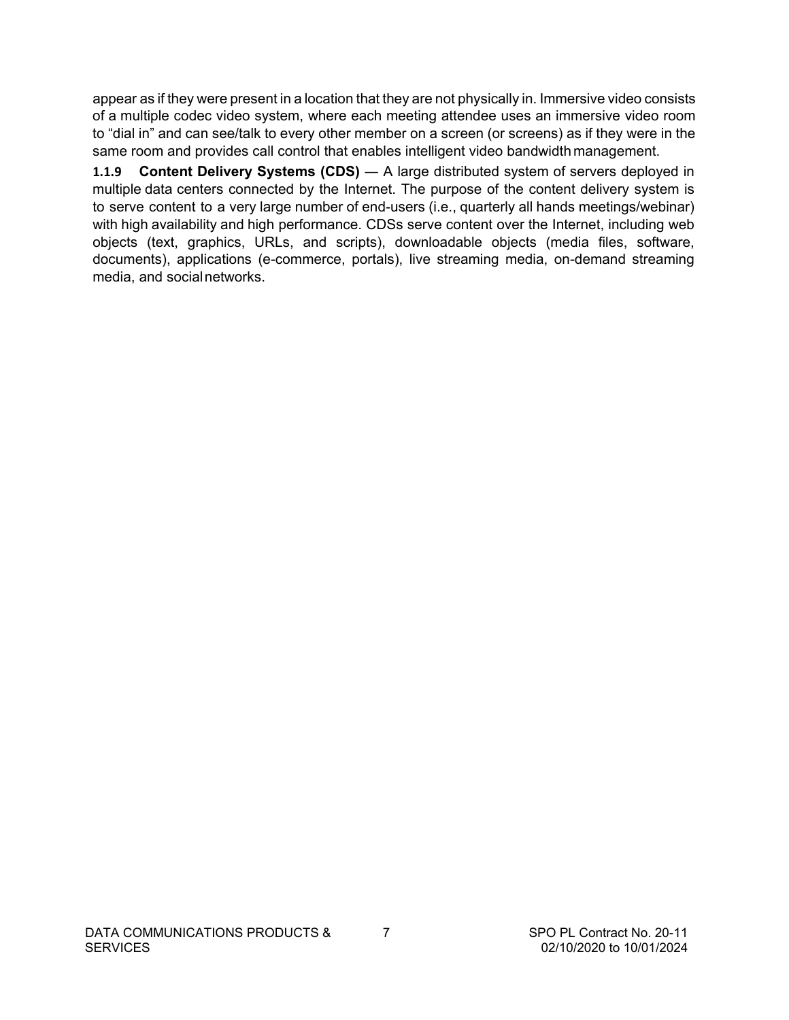appear as if they were present in a location that they are not physically in. Immersive video consists of a multiple codec video system, where each meeting attendee uses an immersive video room to "dial in" and can see/talk to every other member on a screen (or screens) as if they were in the same room and provides call control that enables intelligent video bandwidth management.

**1.1.9 Content Delivery Systems (CDS)** ― A large distributed system of servers deployed in multiple data centers connected by the Internet. The purpose of the content delivery system is to serve content to a very large number of end-users (i.e., quarterly all hands meetings/webinar) with high availability and high performance. CDSs serve content over the Internet, including web objects (text, graphics, URLs, and scripts), downloadable objects (media files, software, documents), applications (e-commerce, portals), live streaming media, on-demand streaming media, and socialnetworks.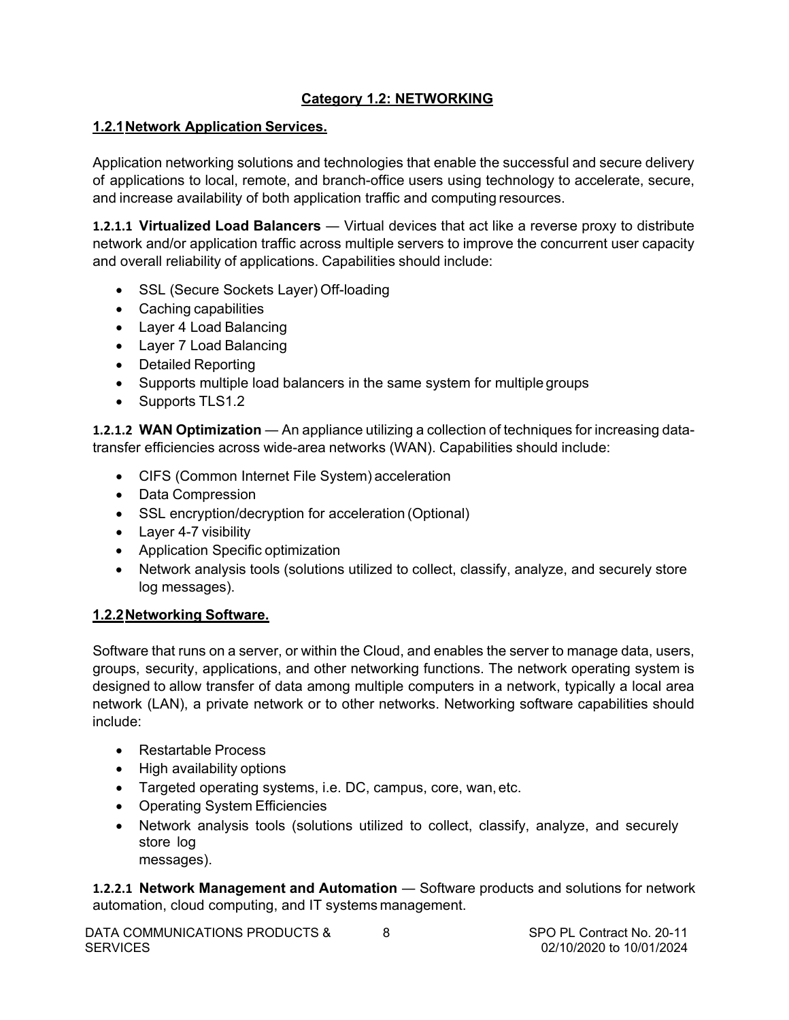# **Category 1.2: NETWORKING**

# <span id="page-9-0"></span>**1.2.1Network Application Services.**

Application networking solutions and technologies that enable the successful and secure delivery of applications to local, remote, and branch-office users using technology to accelerate, secure, and increase availability of both application traffic and computing resources.

**1.2.1.1 Virtualized Load Balancers** — Virtual devices that act like a reverse proxy to distribute network and/or application traffic across multiple servers to improve the concurrent user capacity and overall reliability of applications. Capabilities should include:

- SSL (Secure Sockets Layer) Off-loading
- Caching capabilities
- Layer 4 Load Balancing
- Layer 7 Load Balancing
- Detailed Reporting
- Supports multiple load balancers in the same system for multiple groups
- Supports TLS1.2

**1.2.1.2 WAN Optimization** ― An appliance utilizing a collection of techniques for increasing datatransfer efficiencies across wide-area networks (WAN). Capabilities should include:

- CIFS (Common Internet File System) acceleration
- Data Compression
- SSL encryption/decryption for acceleration (Optional)
- Layer 4-7 visibility
- Application Specific optimization
- Network analysis tools (solutions utilized to collect, classify, analyze, and securely store log messages).

## **1.2.2Networking Software.**

Software that runs on a server, or within the Cloud, and enables the server to manage data, users, groups, security, applications, and other networking functions. The network operating system is designed to allow transfer of data among multiple computers in a network, typically a local area network (LAN), a private network or to other networks. Networking software capabilities should include:

- Restartable Process
- High availability options
- Targeted operating systems, i.e. DC, campus, core, wan, etc.
- Operating System Efficiencies
- Network analysis tools (solutions utilized to collect, classify, analyze, and securely store log messages).

**1.2.2.1 Network Management and Automation** ― Software products and solutions for network automation, cloud computing, and IT systems management.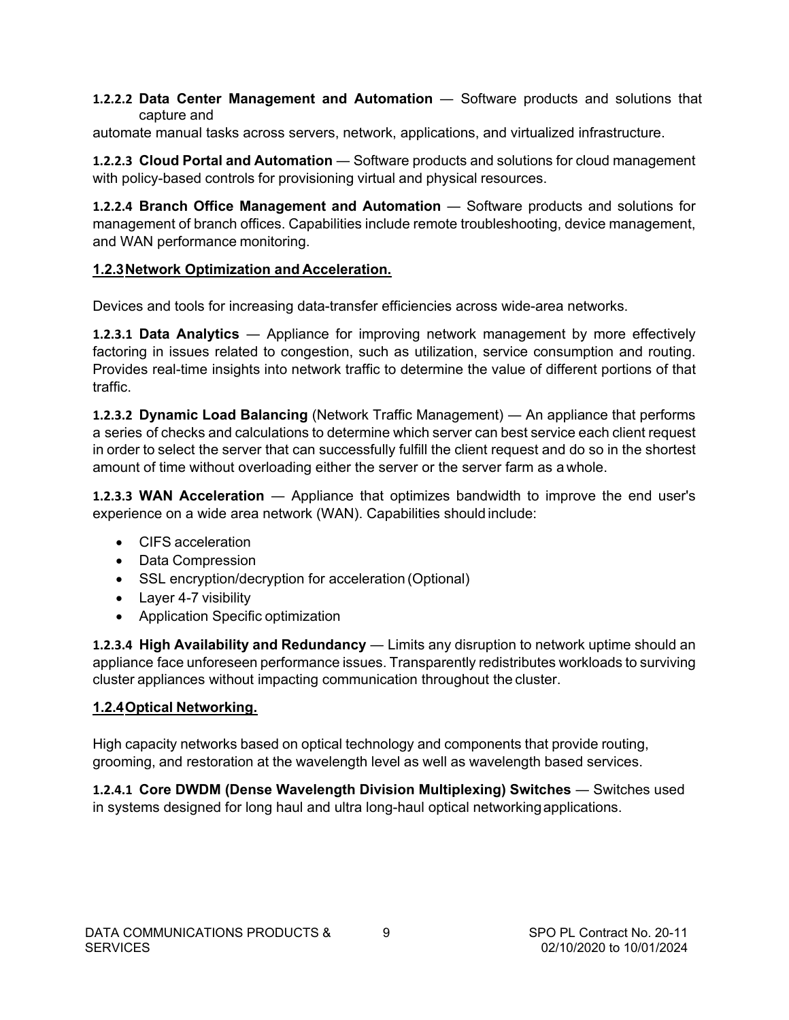#### **1.2.2.2 Data Center Management and Automation** ― Software products and solutions that capture and

automate manual tasks across servers, network, applications, and virtualized infrastructure.

**1.2.2.3 Cloud Portal and Automation** ― Software products and solutions for cloud management with policy-based controls for provisioning virtual and physical resources.

**1.2.2.4 Branch Office Management and Automation** ― Software products and solutions for management of branch offices. Capabilities include remote troubleshooting, device management, and WAN performance monitoring.

# **1.2.3Network Optimization and Acceleration.**

Devices and tools for increasing data-transfer efficiencies across wide-area networks.

**1.2.3.1 Data Analytics** ― Appliance for improving network management by more effectively factoring in issues related to congestion, such as utilization, service consumption and routing. Provides real-time insights into network traffic to determine the value of different portions of that traffic.

**1.2.3.2 Dynamic Load Balancing** (Network Traffic Management) ― An appliance that performs a series of checks and calculations to determine which server can best service each client request in order to select the server that can successfully fulfill the client request and do so in the shortest amount of time without overloading either the server or the server farm as a whole.

**1.2.3.3 WAN Acceleration** — Appliance that optimizes bandwidth to improve the end user's experience on a wide area network (WAN). Capabilities should include:

- CIFS acceleration
- Data Compression
- SSL encryption/decryption for acceleration (Optional)
- Layer 4-7 visibility
- Application Specific optimization

**1.2.3.4 High Availability and Redundancy** ― Limits any disruption to network uptime should an appliance face unforeseen performance issues. Transparently redistributes workloads to surviving cluster appliances without impacting communication throughout the cluster.

## **1.2.4Optical Networking.**

High capacity networks based on optical technology and components that provide routing, grooming, and restoration at the wavelength level as well as wavelength based services.

**1.2.4.1 Core DWDM (Dense Wavelength Division Multiplexing) Switches** ― Switches used in systems designed for long haul and ultra long-haul optical networkingapplications.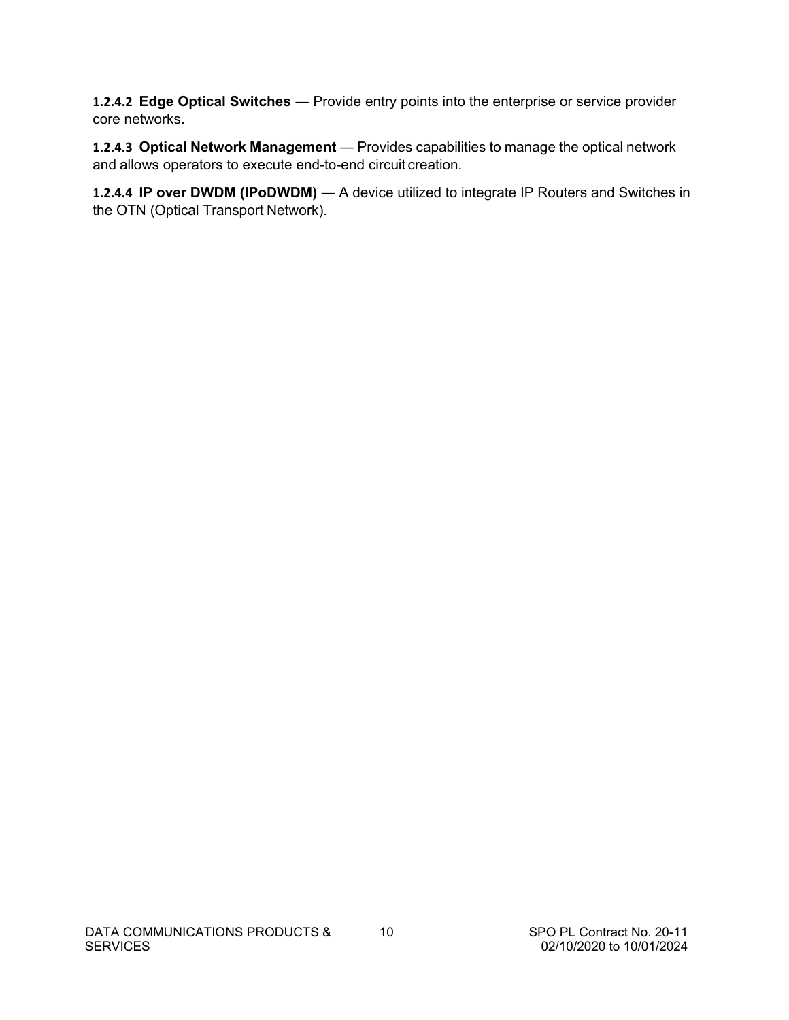**1.2.4.2 Edge Optical Switches** — Provide entry points into the enterprise or service provider core networks.

**1.2.4.3 Optical Network Management** ― Provides capabilities to manage the optical network and allows operators to execute end-to-end circuit creation.

**1.2.4.4 IP over DWDM (IPoDWDM)** — A device utilized to integrate IP Routers and Switches in the OTN (Optical Transport Network).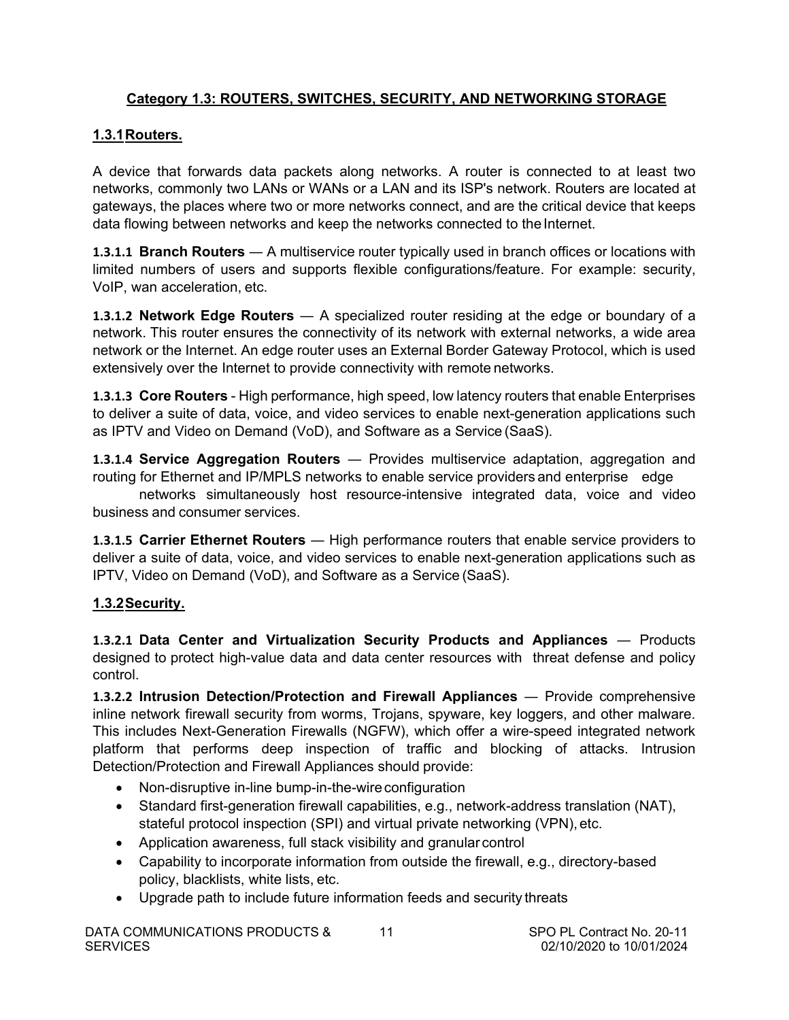# <span id="page-12-0"></span>**Category 1.3: ROUTERS, SWITCHES, SECURITY, AND NETWORKING STORAGE**

# **1.3.1Routers.**

A device that forwards data packets along networks. A router is connected to at least two networks, commonly two LANs or WANs or a LAN and its ISP's network. Routers are located at gateways, the places where two or more networks connect, and are the critical device that keeps data flowing between networks and keep the networks connected to the Internet.

**1.3.1.1 Branch Routers** ― A multiservice router typically used in branch offices or locations with limited numbers of users and supports flexible configurations/feature. For example: security, VoIP, wan acceleration, etc.

**1.3.1.2 Network Edge Routers** ― A specialized router residing at the edge or boundary of a network. This router ensures the connectivity of its network with external networks, a wide area network or the Internet. An edge router uses an External Border Gateway Protocol, which is used extensively over the Internet to provide connectivity with remote networks.

**1.3.1.3 Core Routers** - High performance, high speed, low latency routers that enable Enterprises to deliver a suite of data, voice, and video services to enable next-generation applications such as IPTV and Video on Demand (VoD), and Software as a Service (SaaS).

**1.3.1.4 Service Aggregation Routers** ― Provides multiservice adaptation, aggregation and routing for Ethernet and IP/MPLS networks to enable service providers and enterprise edge

networks simultaneously host resource-intensive integrated data, voice and video business and consumer services.

**1.3.1.5 Carrier Ethernet Routers** — High performance routers that enable service providers to deliver a suite of data, voice, and video services to enable next-generation applications such as IPTV, Video on Demand (VoD), and Software as a Service (SaaS).

# **1.3.2Security.**

**1.3.2.1 Data Center and Virtualization Security Products and Appliances** ― Products designed to protect high-value data and data center resources with threat defense and policy control.

**1.3.2.2 Intrusion Detection/Protection and Firewall Appliances** ― Provide comprehensive inline network firewall security from worms, Trojans, spyware, key loggers, and other malware. This includes Next-Generation Firewalls (NGFW), which offer a wire-speed integrated network platform that performs deep inspection of traffic and blocking of attacks. Intrusion Detection/Protection and Firewall Appliances should provide:

- Non-disruptive in-line bump-in-the-wire configuration
- Standard first-generation firewall capabilities, e.g., network-address translation (NAT), stateful protocol inspection (SPI) and virtual private networking (VPN), etc.
- Application awareness, full stack visibility and granular control
- Capability to incorporate information from outside the firewall, e.g., directory-based policy, blacklists, white lists, etc.
- Upgrade path to include future information feeds and security threats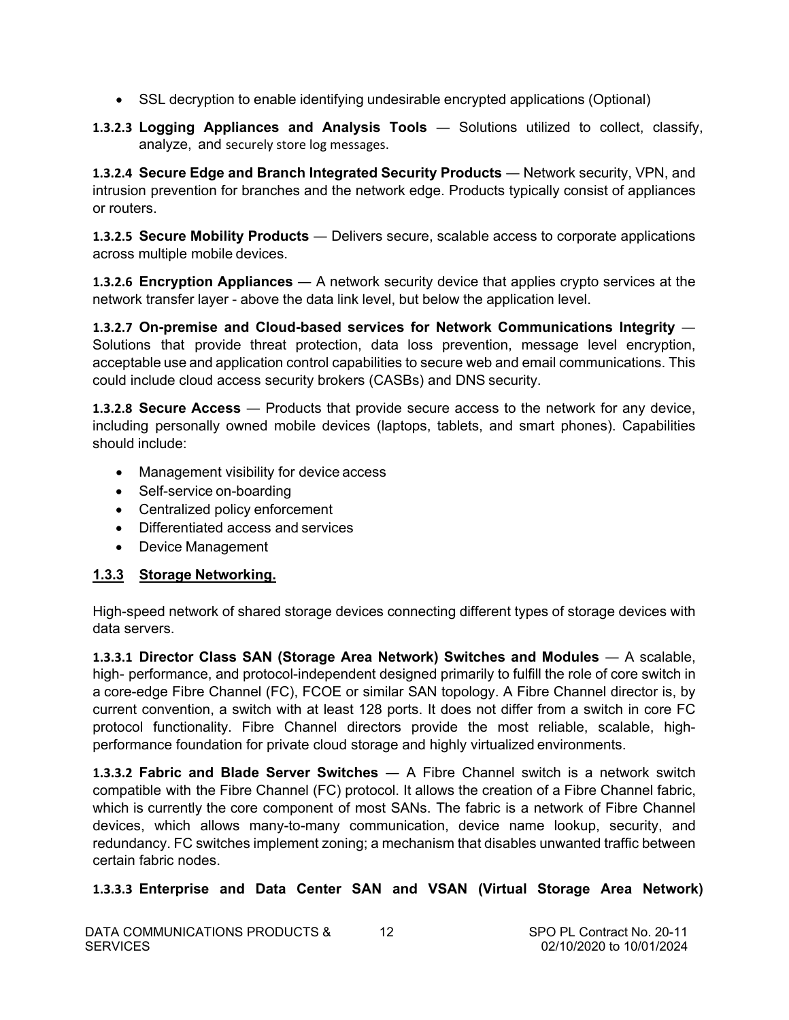- SSL decryption to enable identifying undesirable encrypted applications (Optional)
- **1.3.2.3 Logging Appliances and Analysis Tools** ― Solutions utilized to collect, classify, analyze, and securely store log messages.

**1.3.2.4 Secure Edge and Branch Integrated Security Products** ― Network security, VPN, and intrusion prevention for branches and the network edge. Products typically consist of appliances or routers.

**1.3.2.5 Secure Mobility Products** ― Delivers secure, scalable access to corporate applications across multiple mobile devices.

**1.3.2.6 Encryption Appliances** ― A network security device that applies crypto services at the network transfer layer - above the data link level, but below the application level.

**1.3.2.7 On-premise and Cloud-based services for Network Communications Integrity** ― Solutions that provide threat protection, data loss prevention, message level encryption, acceptable use and application control capabilities to secure web and email communications. This could include cloud access security brokers (CASBs) and DNS security.

**1.3.2.8 Secure Access** ― Products that provide secure access to the network for any device, including personally owned mobile devices (laptops, tablets, and smart phones). Capabilities should include:

- Management visibility for device access
- Self-service on-boarding
- Centralized policy enforcement
- Differentiated access and services
- Device Management

## **1.3.3 Storage Networking.**

High-speed network of shared storage devices connecting different types of storage devices with data servers.

**1.3.3.1 Director Class SAN (Storage Area Network) Switches and Modules** ― A scalable, high- performance, and protocol-independent designed primarily to fulfill the role of core switch in a core-edge Fibre Channel (FC), FCOE or similar SAN topology. A Fibre Channel director is, by current convention, a switch with at least 128 ports. It does not differ from a switch in core FC protocol functionality. Fibre Channel directors provide the most reliable, scalable, highperformance foundation for private cloud storage and highly virtualized environments.

**1.3.3.2 Fabric and Blade Server Switches** ― A Fibre Channel switch is a network switch compatible with the Fibre Channel (FC) protocol. It allows the creation of a Fibre Channel fabric, which is currently the core component of most SANs. The fabric is a network of Fibre Channel devices, which allows many-to-many communication, device name lookup, security, and redundancy. FC switches implement zoning; a mechanism that disables unwanted traffic between certain fabric nodes.

## **1.3.3.3 Enterprise and Data Center SAN and VSAN (Virtual Storage Area Network)**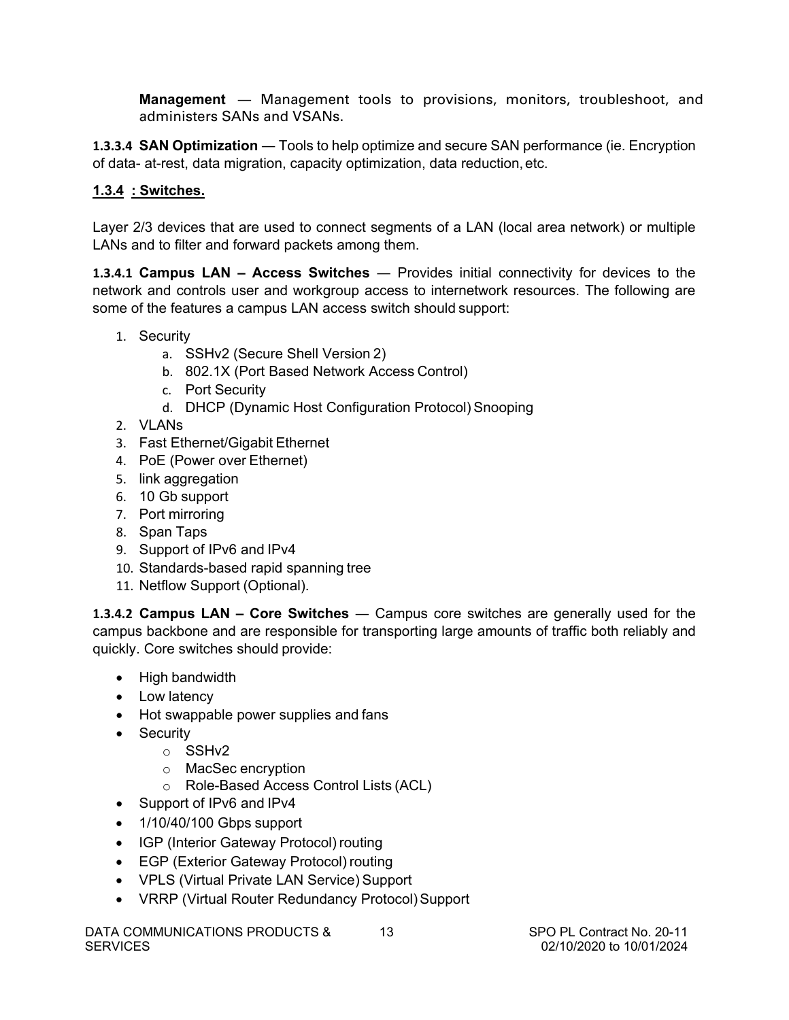**Management** ― Management tools to provisions, monitors, troubleshoot, and administers SANs and VSANs.

**1.3.3.4 SAN Optimization** ― Tools to help optimize and secure SAN performance (ie. Encryption of data- at-rest, data migration, capacity optimization, data reduction,etc.

# **1.3.4 : Switches.**

Layer 2/3 devices that are used to connect segments of a LAN (local area network) or multiple LANs and to filter and forward packets among them.

**1.3.4.1 Campus LAN – Access Switches** — Provides initial connectivity for devices to the network and controls user and workgroup access to internetwork resources. The following are some of the features a campus LAN access switch should support:

- 1. Security
	- a. SSHv2 (Secure Shell Version 2)
	- b. 802.1X (Port Based Network Access Control)
	- c. Port Security
	- d. DHCP (Dynamic Host Configuration Protocol) Snooping
- 2. VLANs
- 3. Fast Ethernet/Gigabit Ethernet
- 4. PoE (Power over Ethernet)
- 5. link aggregation
- 6. 10 Gb support
- 7. Port mirroring
- 8. Span Taps
- 9. Support of IPv6 and IPv4
- 10. Standards-based rapid spanning tree
- 11. Netflow Support (Optional).

**1.3.4.2 Campus LAN – Core Switches** — Campus core switches are generally used for the campus backbone and are responsible for transporting large amounts of traffic both reliably and quickly. Core switches should provide:

- High bandwidth
- Low latency
- Hot swappable power supplies and fans
- Security
	- o SSHv2
	- o MacSec encryption
	- o Role-Based Access Control Lists (ACL)
- Support of IPv6 and IPv4
- 1/10/40/100 Gbps support
- IGP (Interior Gateway Protocol) routing
- EGP (Exterior Gateway Protocol) routing
- VPLS (Virtual Private LAN Service) Support
- VRRP (Virtual Router Redundancy Protocol) Support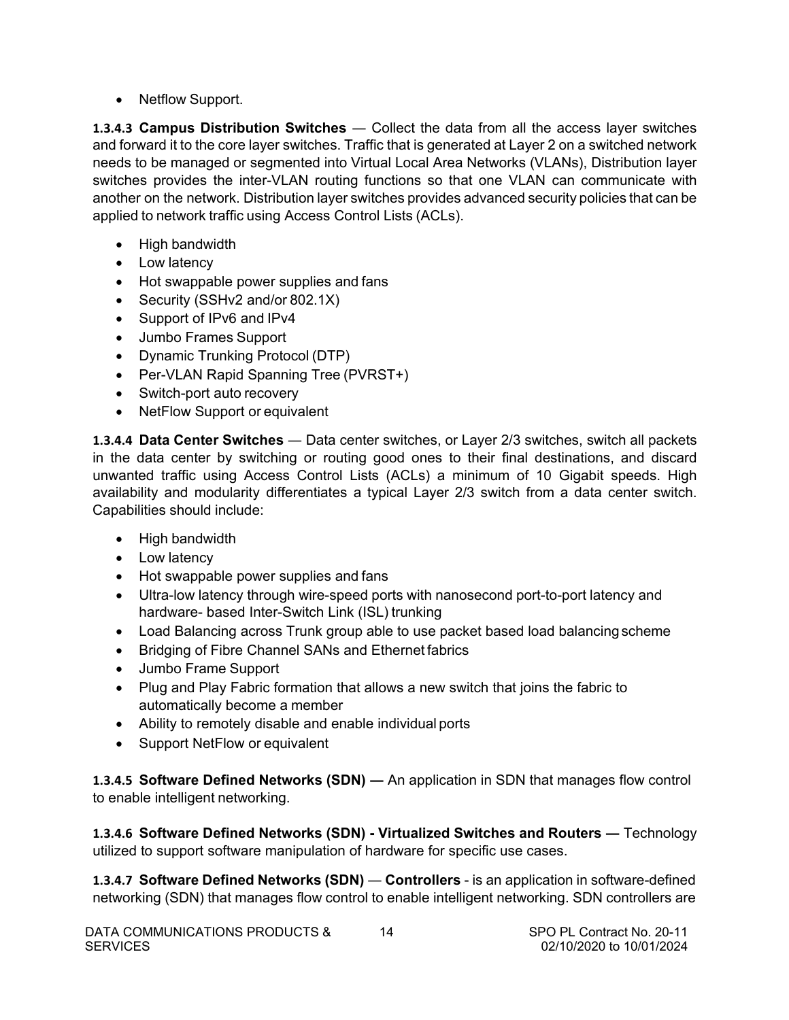• Netflow Support.

**1.3.4.3 Campus Distribution Switches** — Collect the data from all the access layer switches and forward it to the core layer switches. Traffic that is generated at Layer 2 on a switched network needs to be managed or segmented into Virtual Local Area Networks (VLANs), Distribution layer switches provides the inter-VLAN routing functions so that one VLAN can communicate with another on the network. Distribution layer switches provides advanced security policies that can be applied to network traffic using Access Control Lists (ACLs).

- High bandwidth
- Low latency
- Hot swappable power supplies and fans
- Security (SSHv2 and/or 802.1X)
- Support of IPv6 and IPv4
- Jumbo Frames Support
- Dynamic Trunking Protocol (DTP)
- Per-VLAN Rapid Spanning Tree (PVRST+)
- Switch-port auto recovery
- NetFlow Support or equivalent

**1.3.4.4 Data Center Switches** ― Data center switches, or Layer 2/3 switches, switch all packets in the data center by switching or routing good ones to their final destinations, and discard unwanted traffic using Access Control Lists (ACLs) a minimum of 10 Gigabit speeds. High availability and modularity differentiates a typical Layer 2/3 switch from a data center switch. Capabilities should include:

- High bandwidth
- Low latency
- Hot swappable power supplies and fans
- Ultra-low latency through wire-speed ports with nanosecond port-to-port latency and hardware- based Inter-Switch Link (ISL) trunking
- Load Balancing across Trunk group able to use packet based load balancing scheme
- Bridging of Fibre Channel SANs and Ethernet fabrics
- Jumbo Frame Support
- Plug and Play Fabric formation that allows a new switch that joins the fabric to automatically become a member
- Ability to remotely disable and enable individual ports
- Support NetFlow or equivalent

**1.3.4.5 Software Defined Networks (SDN) ―** An application in SDN that manages flow control to enable intelligent networking.

**1.3.4.6 Software Defined Networks (SDN) - Virtualized Switches and Routers ―** Technology utilized to support software manipulation of hardware for specific use cases.

**1.3.4.7 Software Defined Networks (SDN)** ― **Controllers** - is an application in software-defined networking (SDN) that manages flow control to enable intelligent networking. SDN controllers are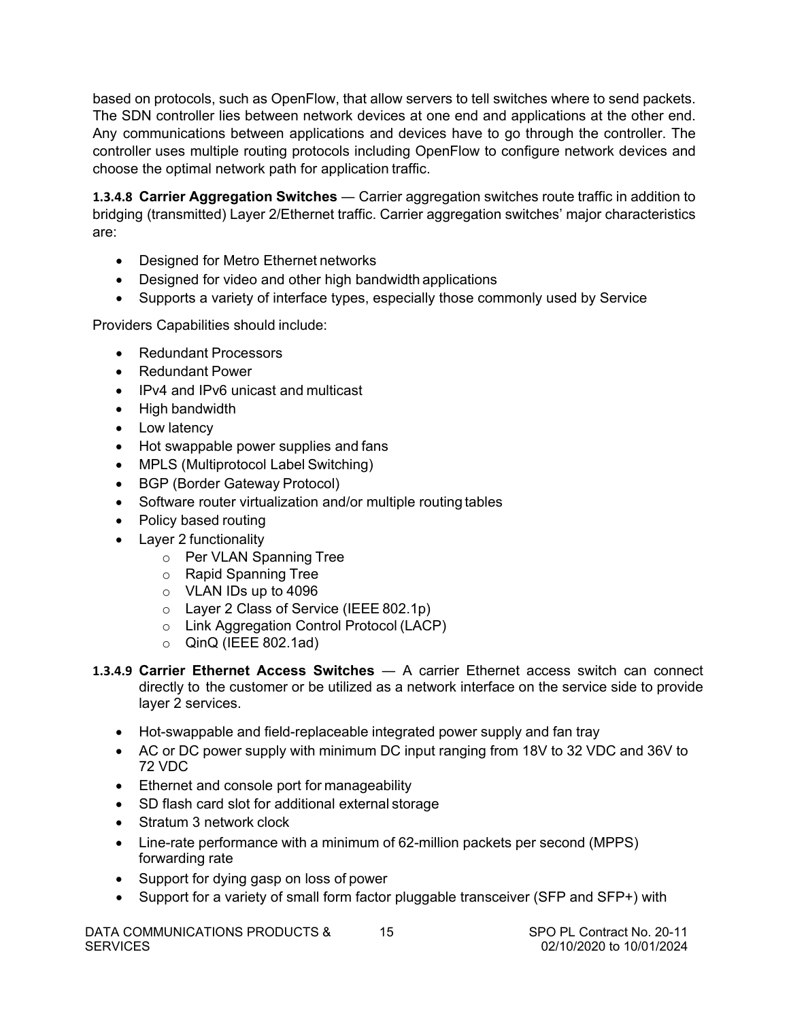based on protocols, such as OpenFlow, that allow servers to tell switches where to send packets. The SDN controller lies between network devices at one end and applications at the other end. Any communications between applications and devices have to go through the controller. The controller uses multiple routing protocols including OpenFlow to configure network devices and choose the optimal network path for application traffic.

**1.3.4.8 Carrier Aggregation Switches** ― Carrier aggregation switches route traffic in addition to bridging (transmitted) Layer 2/Ethernet traffic. Carrier aggregation switches' major characteristics are:

- Designed for Metro Ethernet networks
- Designed for video and other high bandwidth applications
- Supports a variety of interface types, especially those commonly used by Service

Providers Capabilities should include:

- Redundant Processors
- Redundant Power
- IPv4 and IPv6 unicast and multicast
- High bandwidth
- Low latency
- Hot swappable power supplies and fans
- MPLS (Multiprotocol Label Switching)
- BGP (Border Gateway Protocol)
- Software router virtualization and/or multiple routing tables
- Policy based routing
- Layer 2 functionality
	- o Per VLAN Spanning Tree
	- o Rapid Spanning Tree
	- o VLAN IDs up to 4096
	- o Layer 2 Class of Service (IEEE 802.1p)
	- o Link Aggregation Control Protocol (LACP)
	- $\circ$  QinQ (IEEE 802.1ad)
- **1.3.4.9 Carrier Ethernet Access Switches** ― A carrier Ethernet access switch can connect directly to the customer or be utilized as a network interface on the service side to provide layer 2 services.
	- Hot-swappable and field-replaceable integrated power supply and fan tray
	- AC or DC power supply with minimum DC input ranging from 18V to 32 VDC and 36V to 72 VDC
	- Ethernet and console port for manageability
	- SD flash card slot for additional external storage
	- Stratum 3 network clock
	- Line-rate performance with a minimum of 62-million packets per second (MPPS) forwarding rate
	- Support for dying gasp on loss of power
	- Support for a variety of small form factor pluggable transceiver (SFP and SFP+) with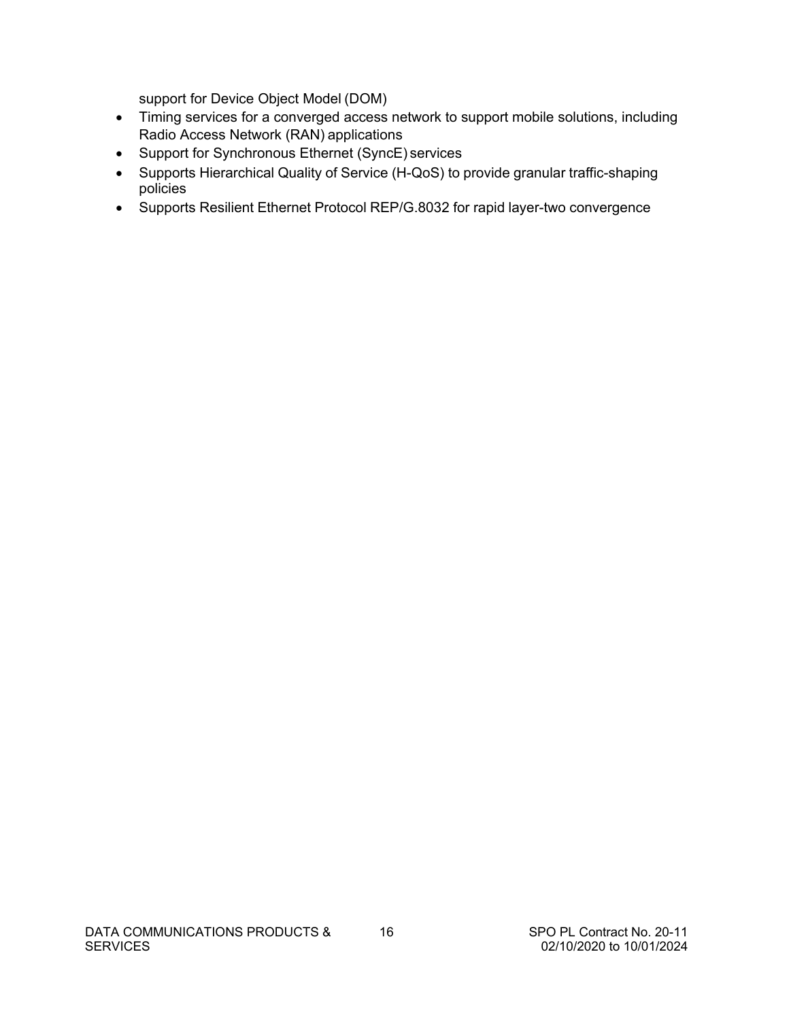support for Device Object Model (DOM)

- Timing services for a converged access network to support mobile solutions, including Radio Access Network (RAN) applications
- Support for Synchronous Ethernet (SyncE) services
- Supports Hierarchical Quality of Service (H-QoS) to provide granular traffic-shaping policies
- Supports Resilient Ethernet Protocol REP/G.8032 for rapid layer-two convergence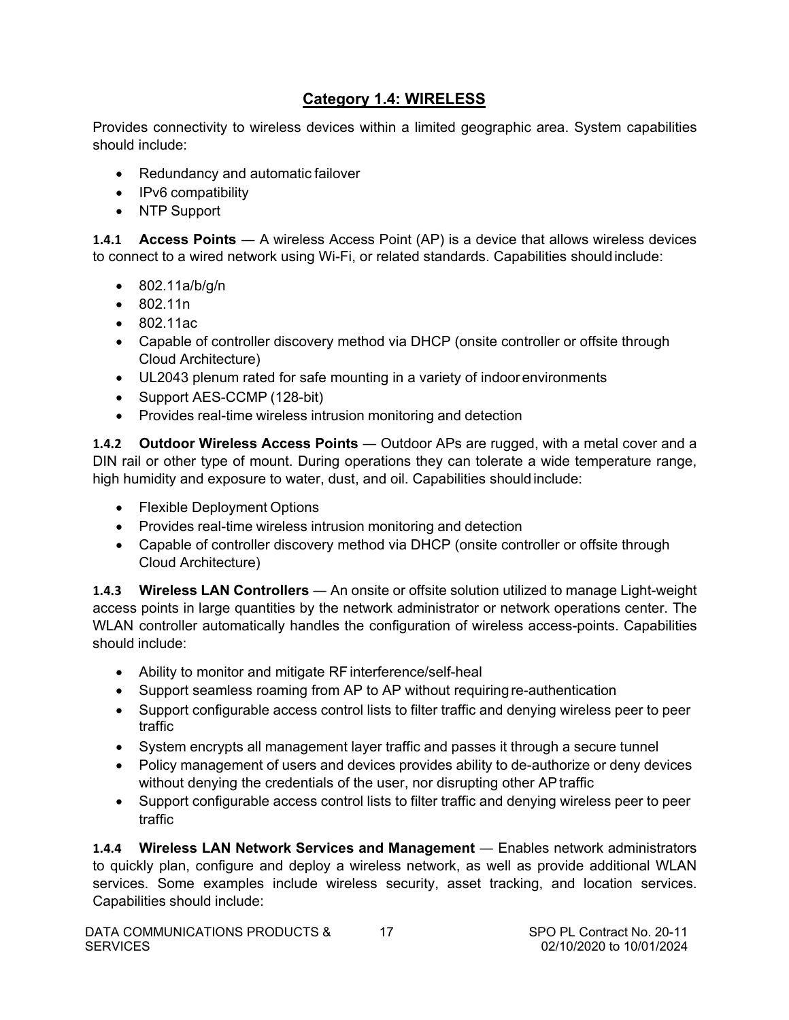# **Category 1.4: WIRELESS**

<span id="page-18-0"></span>Provides connectivity to wireless devices within a limited geographic area. System capabilities should include:

- Redundancy and automatic failover
- IPv6 compatibility
- NTP Support

**1.4.1 Access Points** — A wireless Access Point (AP) is a device that allows wireless devices to connect to a wired network using Wi-Fi, or related standards. Capabilities shouldinclude:

- 802.11a/b/g/n
- 802.11n
- 802.11ac
- Capable of controller discovery method via DHCP (onsite controller or offsite through Cloud Architecture)
- UL2043 plenum rated for safe mounting in a variety of indoorenvironments
- Support AES-CCMP (128-bit)
- Provides real-time wireless intrusion monitoring and detection

**1.4.2 • Outdoor Wireless Access Points** — Outdoor APs are rugged, with a metal cover and a DIN rail or other type of mount. During operations they can tolerate a wide temperature range, high humidity and exposure to water, dust, and oil. Capabilities should include:

- Flexible Deployment Options
- Provides real-time wireless intrusion monitoring and detection
- Capable of controller discovery method via DHCP (onsite controller or offsite through Cloud Architecture)

**1.4.3 Wireless LAN Controllers** ― An onsite or offsite solution utilized to manage Light-weight access points in large quantities by the network administrator or network operations center. The WLAN controller automatically handles the configuration of wireless access-points. Capabilities should include:

- Ability to monitor and mitigate RF interference/self-heal
- Support seamless roaming from AP to AP without requiring re-authentication
- Support configurable access control lists to filter traffic and denying wireless peer to peer traffic
- System encrypts all management layer traffic and passes it through a secure tunnel
- Policy management of users and devices provides ability to de-authorize or deny devices without denying the credentials of the user, nor disrupting other AP traffic
- Support configurable access control lists to filter traffic and denying wireless peer to peer traffic

**1.4.4 Wireless LAN Network Services and Management** ― Enables network administrators to quickly plan, configure and deploy a wireless network, as well as provide additional WLAN services. Some examples include wireless security, asset tracking, and location services. Capabilities should include: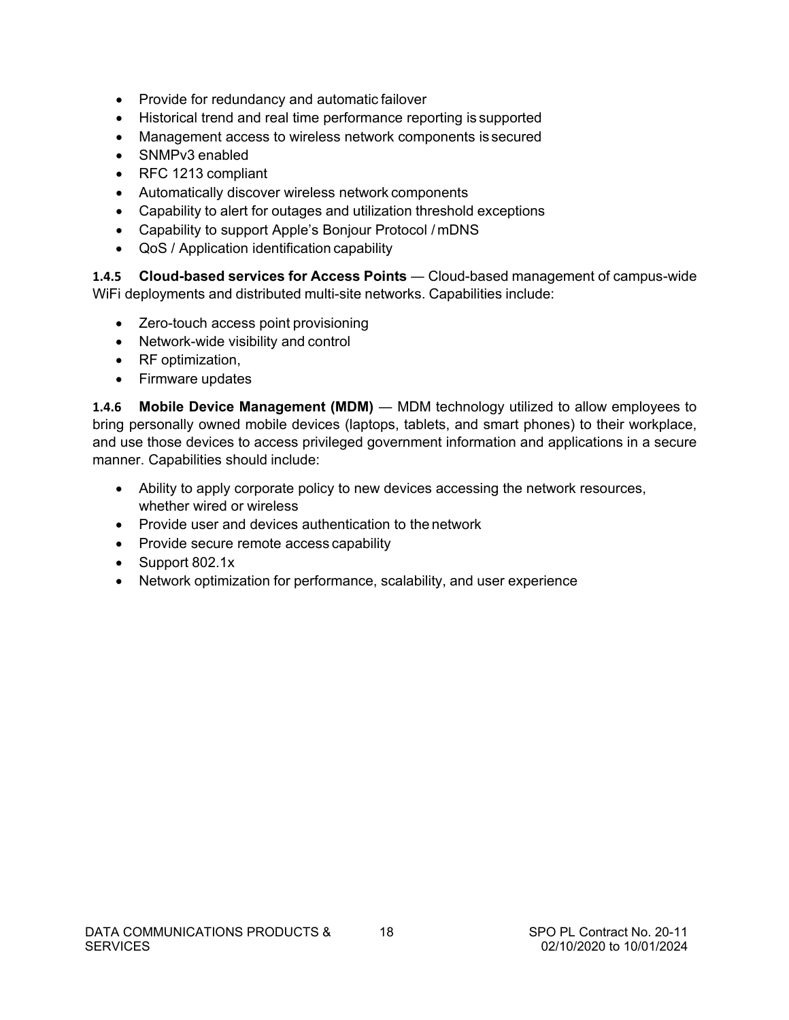- Provide for redundancy and automatic failover
- Historical trend and real time performance reporting is supported
- Management access to wireless network components is secured
- SNMPv3 enabled
- RFC 1213 compliant
- Automatically discover wireless network components
- Capability to alert for outages and utilization threshold exceptions
- Capability to support Apple's Bonjour Protocol / mDNS
- QoS / Application identification capability

**1.4.5 Cloud-based services for Access Points** ― Cloud-based management of campus-wide WiFi deployments and distributed multi-site networks. Capabilities include:

- Zero-touch access point provisioning
- Network-wide visibility and control
- RF optimization,
- Firmware updates

**1.4.6 Mobile Device Management (MDM)** ― MDM technology utilized to allow employees to bring personally owned mobile devices (laptops, tablets, and smart phones) to their workplace, and use those devices to access privileged government information and applications in a secure manner. Capabilities should include:

- Ability to apply corporate policy to new devices accessing the network resources, whether wired or wireless
- Provide user and devices authentication to the network
- Provide secure remote access capability
- Support 802.1x
- Network optimization for performance, scalability, and user experience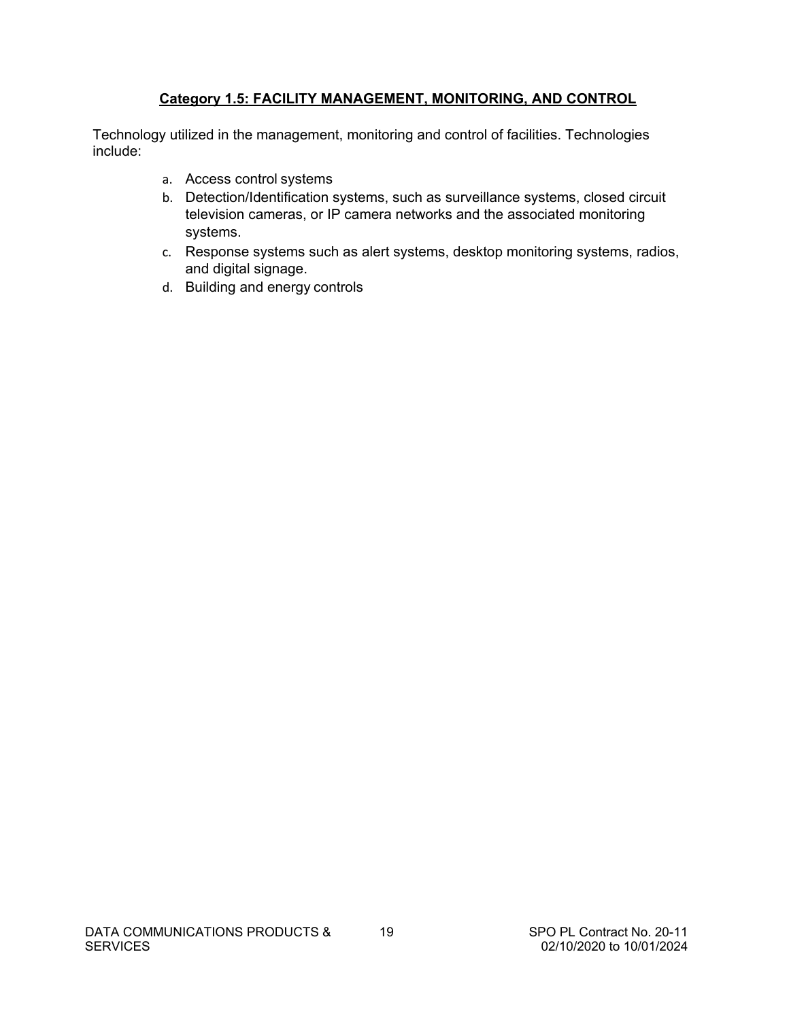# **Category 1.5: FACILITY MANAGEMENT, MONITORING, AND CONTROL**

<span id="page-20-0"></span>Technology utilized in the management, monitoring and control of facilities. Technologies include:

- a. Access control systems
- b. Detection/Identification systems, such as surveillance systems, closed circuit television cameras, or IP camera networks and the associated monitoring systems.
- c. Response systems such as alert systems, desktop monitoring systems, radios, and digital signage.
- d. Building and energy controls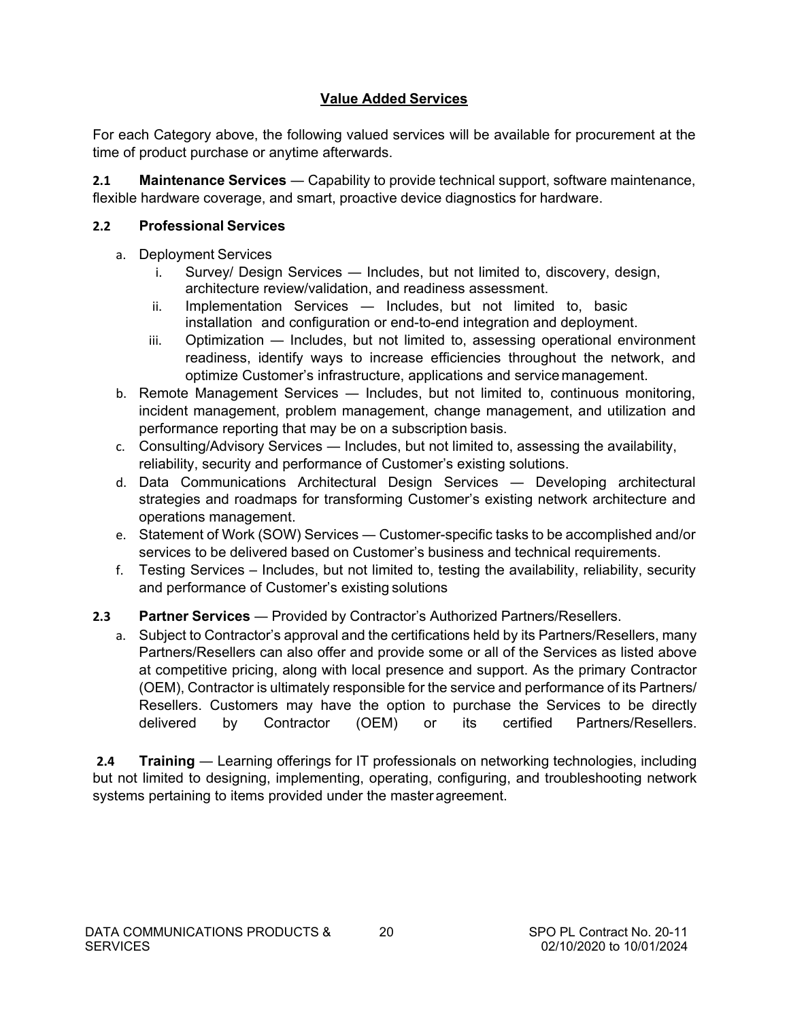# **Value Added Services**

<span id="page-21-0"></span>For each Category above, the following valued services will be available for procurement at the time of product purchase or anytime afterwards.

**2.1 Maintenance Services** — Capability to provide technical support, software maintenance, flexible hardware coverage, and smart, proactive device diagnostics for hardware.

### **2.2 Professional Services**

- a. Deployment Services
	- i. Survey/ Design Services ― Includes, but not limited to, discovery, design, architecture review/validation, and readiness assessment.
	- ii. Implementation Services Includes, but not limited to, basic installation and configuration or end-to-end integration and deployment.
	- iii. Optimization ― Includes, but not limited to, assessing operational environment readiness, identify ways to increase efficiencies throughout the network, and optimize Customer's infrastructure, applications and service management.
- b. Remote Management Services ― Includes, but not limited to, continuous monitoring, incident management, problem management, change management, and utilization and performance reporting that may be on a subscription basis.
- c. Consulting/Advisory Services ― Includes, but not limited to, assessing the availability, reliability, security and performance of Customer's existing solutions.
- d. Data Communications Architectural Design Services ― Developing architectural strategies and roadmaps for transforming Customer's existing network architecture and operations management.
- e. Statement of Work (SOW) Services ― Customer-specific tasks to be accomplished and/or services to be delivered based on Customer's business and technical requirements.
- f. Testing Services Includes, but not limited to, testing the availability, reliability, security and performance of Customer's existing solutions

## **2.3 Partner Services** ― Provided by Contractor's Authorized Partners/Resellers.

a. Subject to Contractor's approval and the certifications held by its Partners/Resellers, many Partners/Resellers can also offer and provide some or all of the Services as listed above at competitive pricing, along with local presence and support. As the primary Contractor (OEM), Contractor is ultimately responsible for the service and performance of its Partners/ Resellers. Customers may have the option to purchase the Services to be directly delivered by Contractor (OEM) or its certified Partners/Resellers.

**2.4 Training** — Learning offerings for IT professionals on networking technologies, including but not limited to designing, implementing, operating, configuring, and troubleshooting network systems pertaining to items provided under the master agreement.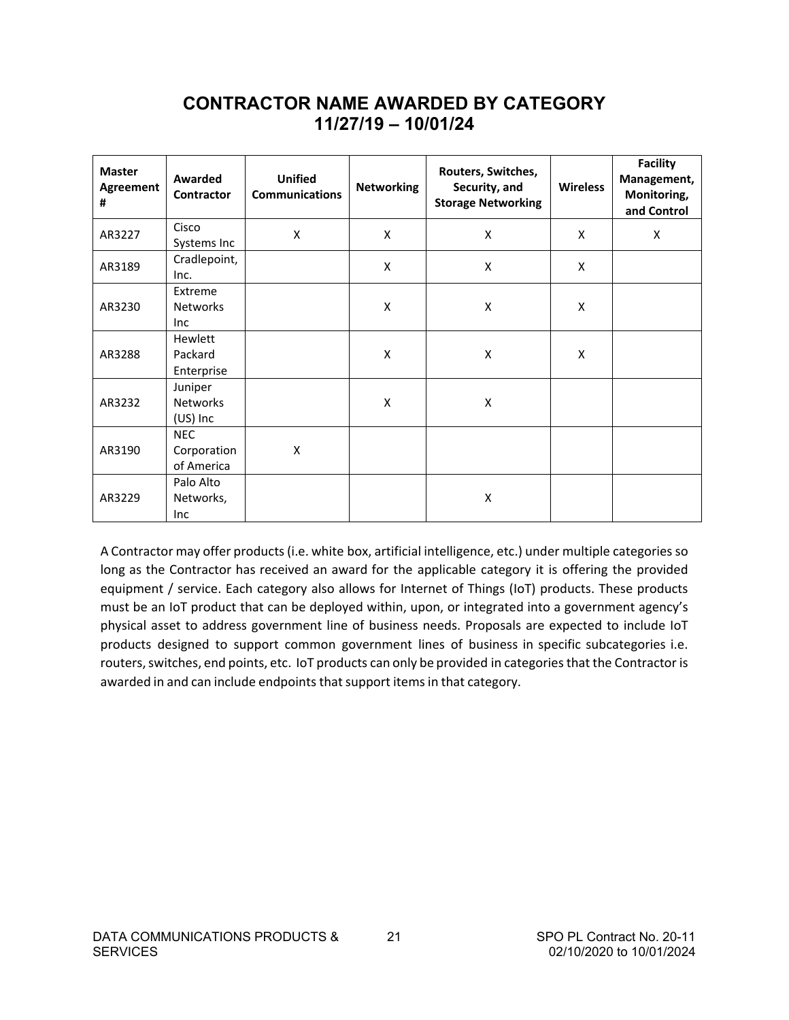# **CONTRACTOR NAME AWARDED BY CATEGORY 11/27/19 – 10/01/24**

<span id="page-22-0"></span>

| <b>Master</b><br>Agreement<br># | Awarded<br><b>Contractor</b>            | <b>Unified</b><br><b>Communications</b> | <b>Networking</b> | Routers, Switches,<br>Security, and<br><b>Storage Networking</b> | <b>Wireless</b> | <b>Facility</b><br>Management,<br>Monitoring,<br>and Control |
|---------------------------------|-----------------------------------------|-----------------------------------------|-------------------|------------------------------------------------------------------|-----------------|--------------------------------------------------------------|
| AR3227                          | Cisco<br>Systems Inc                    | $\pmb{\mathsf{X}}$                      | X                 | X                                                                | X               | X                                                            |
| AR3189                          | Cradlepoint,<br>Inc.                    |                                         | X                 | X                                                                | X               |                                                              |
| AR3230                          | Extreme<br><b>Networks</b><br>Inc       |                                         | X                 | X                                                                | X               |                                                              |
| AR3288                          | Hewlett<br>Packard<br>Enterprise        |                                         | X                 | X                                                                | X               |                                                              |
| AR3232                          | Juniper<br><b>Networks</b><br>(US) Inc  |                                         | X                 | X                                                                |                 |                                                              |
| AR3190                          | <b>NEC</b><br>Corporation<br>of America | X                                       |                   |                                                                  |                 |                                                              |
| AR3229                          | Palo Alto<br>Networks,<br>Inc           |                                         |                   | $\pmb{\mathsf{X}}$                                               |                 |                                                              |

A Contractor may offer products(i.e. white box, artificial intelligence, etc.) under multiple categories so long as the Contractor has received an award for the applicable category it is offering the provided equipment / service. Each category also allows for Internet of Things (IoT) products. These products must be an IoT product that can be deployed within, upon, or integrated into a government agency's physical asset to address government line of business needs. Proposals are expected to include IoT products designed to support common government lines of business in specific subcategories i.e. routers,switches, end points, etc. IoT products can only be provided in categoriesthat the Contractor is awarded in and can include endpoints that support items in that category.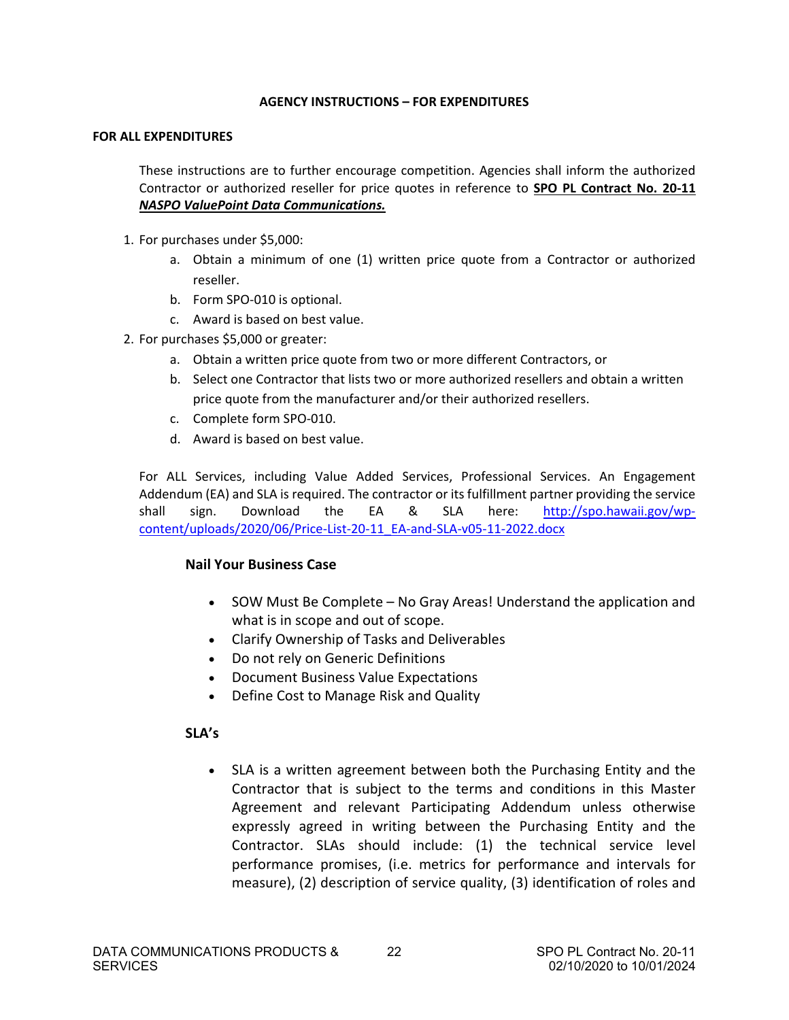#### **AGENCY INSTRUCTIONS – FOR EXPENDITURES**

#### <span id="page-23-0"></span>**FOR ALL EXPENDITURES**

These instructions are to further encourage competition. Agencies shall inform the authorized Contractor or authorized reseller for price quotes in reference to **SPO PL Contract No. 20-11**  *NASPO ValuePoint Data Communications.*

- 1. For purchases under \$5,000:
	- a. Obtain a minimum of one (1) written price quote from a Contractor or authorized reseller.
	- b. Form SPO-010 is optional.
	- c. Award is based on best value.
- 2. For purchases \$5,000 or greater:
	- a. Obtain a written price quote from two or more different Contractors, or
	- b. Select one Contractor that lists two or more authorized resellers and obtain a written price quote from the manufacturer and/or their authorized resellers.
	- c. Complete form SPO-010.
	- d. Award is based on best value.

For ALL Services, including Value Added Services, Professional Services. An Engagement Addendum (EA) and SLA is required. The contractor or its fulfillment partner providing the service shall sign. Download the EA & SLA here: [http://spo.hawaii.gov/wp](http://spo.hawaii.gov/wp-content/uploads/2020/06/Price-List-20-11_EA-and-SLA-v05-11-2022.docx)[content/uploads/2020/06/Price-List-20-11\\_EA-and-SLA-v05-11-2022.docx](http://spo.hawaii.gov/wp-content/uploads/2020/06/Price-List-20-11_EA-and-SLA-v05-11-2022.docx) 

#### **Nail Your Business Case**

- SOW Must Be Complete No Gray Areas! Understand the application and what is in scope and out of scope.
- Clarify Ownership of Tasks and Deliverables
- Do not rely on Generic Definitions
- Document Business Value Expectations
- Define Cost to Manage Risk and Quality

#### **SLA's**

• SLA is a written agreement between both the Purchasing Entity and the Contractor that is subject to the terms and conditions in this Master Agreement and relevant Participating Addendum unless otherwise expressly agreed in writing between the Purchasing Entity and the Contractor. SLAs should include: (1) the technical service level performance promises, (i.e. metrics for performance and intervals for measure), (2) description of service quality, (3) identification of roles and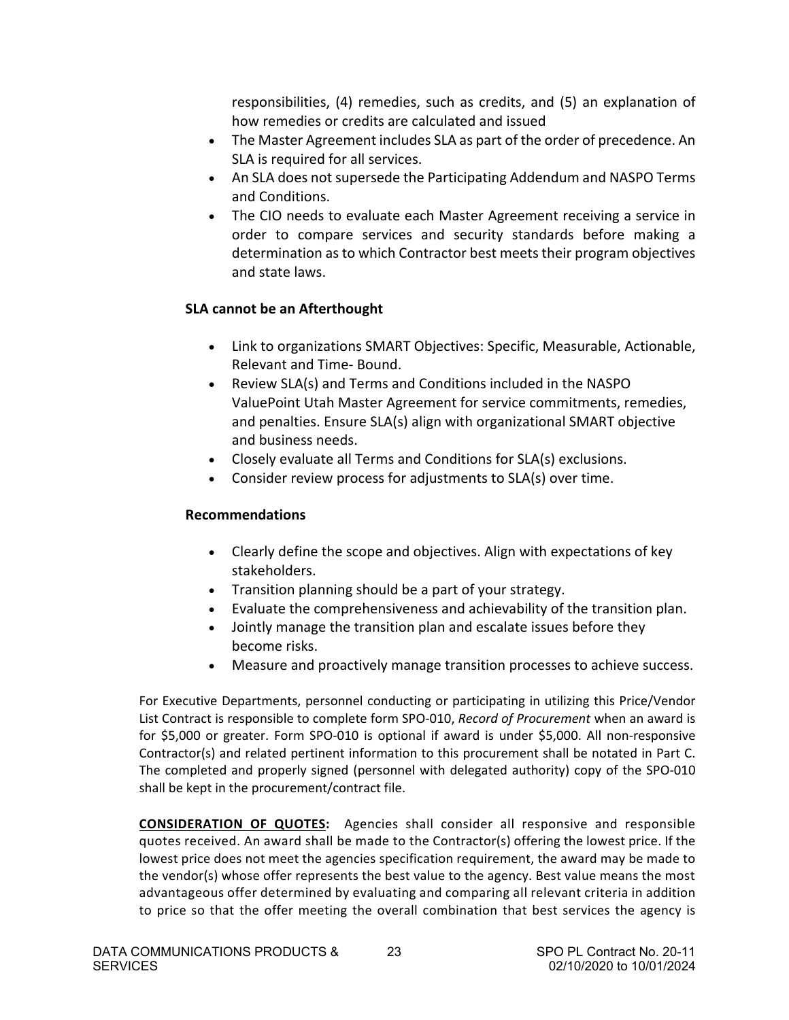responsibilities, (4) remedies, such as credits, and (5) an explanation of how remedies or credits are calculated and issued

- The Master Agreement includes SLA as part of the order of precedence. An SLA is required for all services.
- An SLA does not supersede the Participating Addendum and NASPO Terms and Conditions.
- The CIO needs to evaluate each Master Agreement receiving a service in order to compare services and security standards before making a determination as to which Contractor best meets their program objectives and state laws.

# **SLA cannot be an Afterthought**

- Link to organizations SMART Objectives: Specific, Measurable, Actionable, Relevant and Time- Bound.
- Review SLA(s) and Terms and Conditions included in the NASPO ValuePoint Utah Master Agreement for service commitments, remedies, and penalties. Ensure SLA(s) align with organizational SMART objective and business needs.
- Closely evaluate all Terms and Conditions for SLA(s) exclusions.
- Consider review process for adjustments to SLA(s) over time.

# **Recommendations**

- Clearly define the scope and objectives. Align with expectations of key stakeholders.
- Transition planning should be a part of your strategy.
- Evaluate the comprehensiveness and achievability of the transition plan.
- Jointly manage the transition plan and escalate issues before they become risks.
- Measure and proactively manage transition processes to achieve success.

For Executive Departments, personnel conducting or participating in utilizing this Price/Vendor List Contract is responsible to complete form SPO-010, *Record of Procurement* when an award is for \$5,000 or greater. Form SPO-010 is optional if award is under \$5,000. All non-responsive Contractor(s) and related pertinent information to this procurement shall be notated in Part C. The completed and properly signed (personnel with delegated authority) copy of the SPO-010 shall be kept in the procurement/contract file.

**CONSIDERATION OF QUOTES:** Agencies shall consider all responsive and responsible quotes received. An award shall be made to the Contractor(s) offering the lowest price. If the lowest price does not meet the agencies specification requirement, the award may be made to the vendor(s) whose offer represents the best value to the agency. Best value means the most advantageous offer determined by evaluating and comparing all relevant criteria in addition to price so that the offer meeting the overall combination that best services the agency is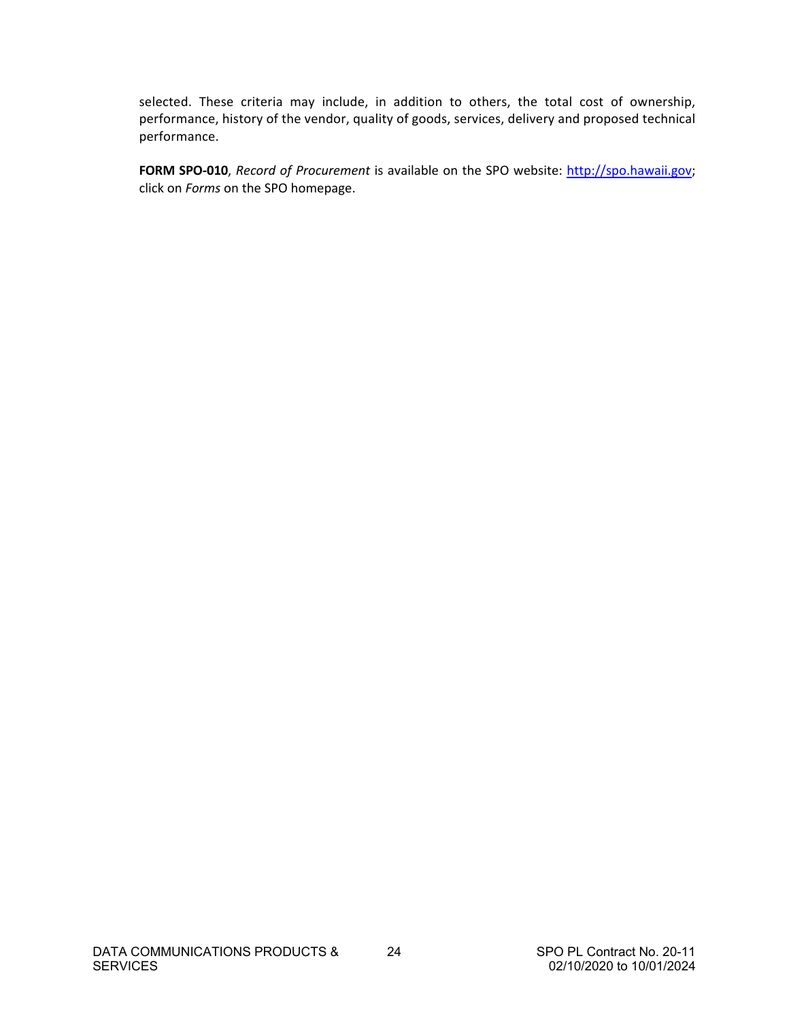selected. These criteria may include, in addition to others, the total cost of ownership, performance, history of the vendor, quality of goods, services, delivery and proposed technical performance.

**FORM SPO-010**, *Record of Procurement* is available on the SPO website: [http://spo.hawaii.gov;](http://spo.hawaii.gov/) click on *Forms* on the SPO homepage.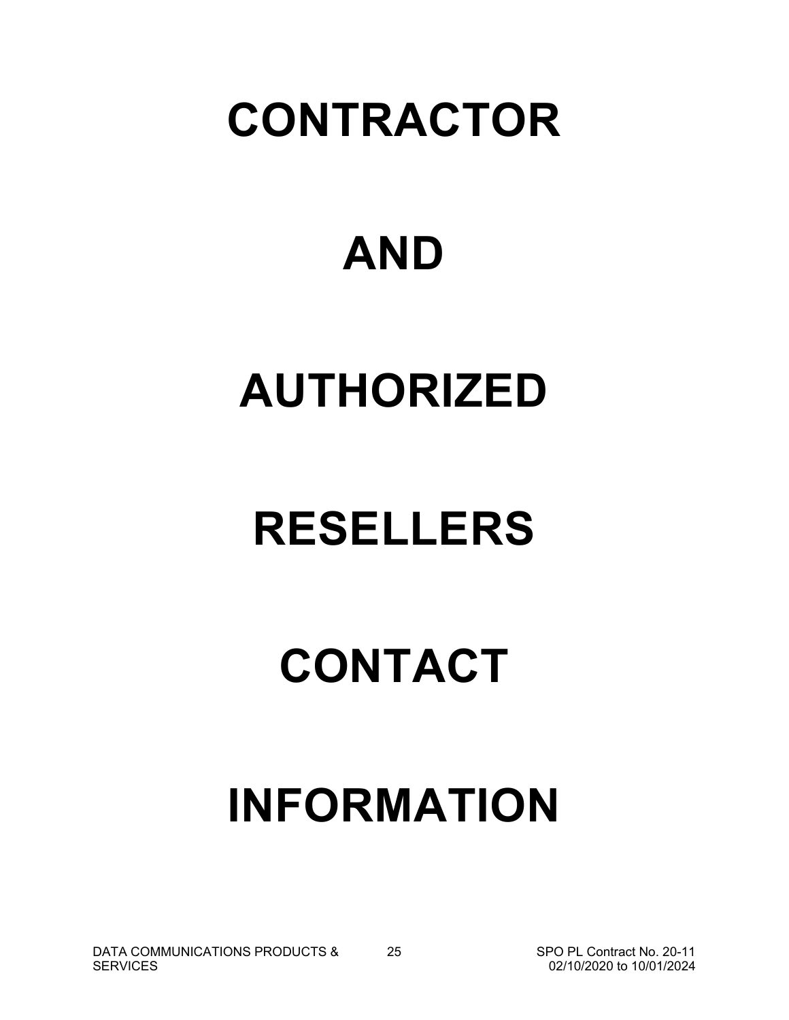# **CONTRACTOR**

# **AND**

# **AUTHORIZED**

# **RESELLERS**

# **CONTACT**

# **INFORMATION**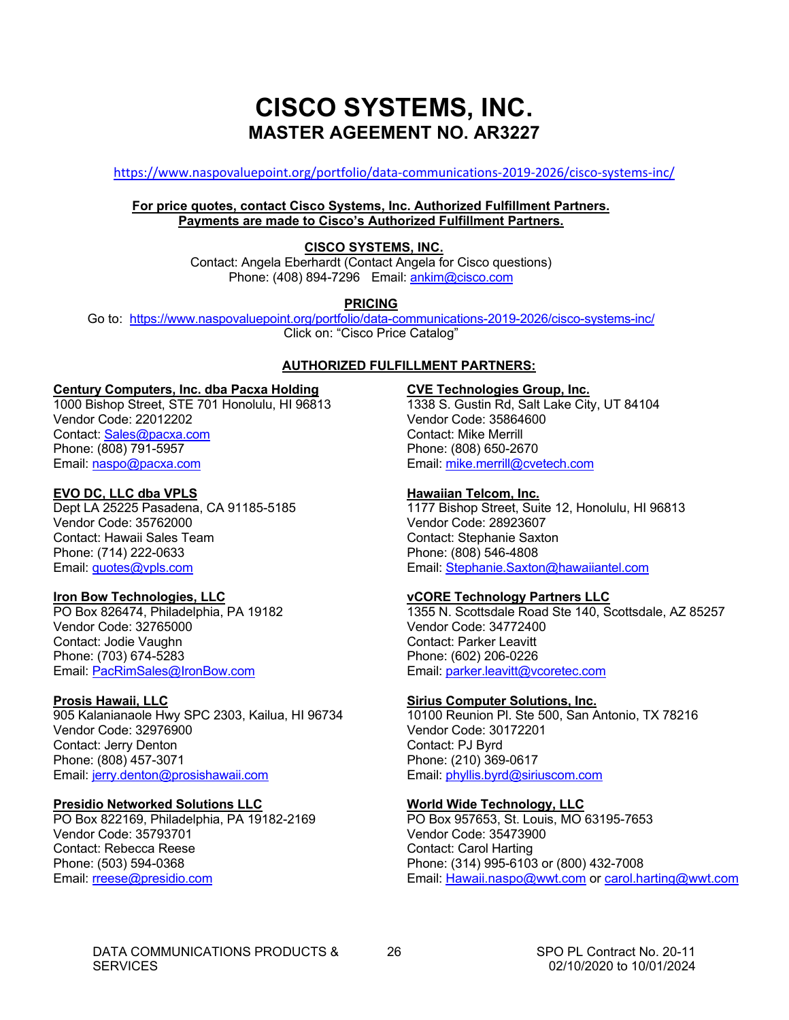# **CISCO SYSTEMS, INC. MASTER AGEEMENT NO. AR3227**

<span id="page-27-0"></span><https://www.naspovaluepoint.org/portfolio/data-communications-2019-2026/cisco-systems-inc/>

#### **For price quotes, contact Cisco Systems, Inc. Authorized Fulfillment Partners. Payments are made to Cisco's Authorized Fulfillment Partners.**

#### **CISCO SYSTEMS, INC.**

Contact: Angela Eberhardt (Contact Angela for Cisco questions) Phone: (408) 894-7296 Email: ankim@cisco.com

**PRICING**

Go to: <https://www.naspovaluepoint.org/portfolio/data-communications-2019-2026/cisco-systems-inc/>Click on: "Cisco Price Catalog"

#### **AUTHORIZED FULFILLMENT PARTNERS:**

#### **Century Computers, Inc. dba Pacxa Holding**

1000 Bishop Street, STE 701 Honolulu, HI 96813 Vendor Code: 22012202 Contact: [Sales@pacxa.com](mailto:Sales@pacxa.com) Phone: (808) 791-5957 Email: [naspo@pacxa.com](mailto:naspo@pacxa.com)

#### **EVO DC, LLC dba VPLS**

Dept LA 25225 Pasadena, CA 91185-5185 Vendor Code: 35762000 Contact: Hawaii Sales Team Phone: (714) 222-0633 Email: [quotes@vpls.com](mailto:quotes@vpls.com)

#### **Iron Bow Technologies, LLC**

PO Box 826474, Philadelphia, PA 19182 Vendor Code: 32765000 Contact: Jodie Vaughn Phone: (703) 674-5283 Email: [PacRimSales@IronBow.com](mailto:PacRimSales@IronBow.com)

#### **Prosis Hawaii, LLC**

905 Kalanianaole Hwy SPC 2303, Kailua, HI 96734 Vendor Code: 32976900 Contact: Jerry Denton Phone: (808) 457-3071 Email: jerry.denton@prosishawaii.com

#### **Presidio Networked Solutions LLC**

PO Box 822169, Philadelphia, PA 19182-2169 Vendor Code: 35793701 Contact: Rebecca Reese Phone: (503) 594-0368 Email: [rreese@presidio.com](mailto:rreese@presidio.com)

#### **CVE Technologies Group, Inc.**

1338 S. Gustin Rd, Salt Lake City, UT 84104 Vendor Code: 35864600 Contact: Mike Merrill Phone: (808) 650-2670 Email: [mike.merrill@cvetech.com](mailto:mike.merrill@cvetech.com)

#### **Hawaiian Telcom, Inc.**

1177 Bishop Street, Suite 12, Honolulu, HI 96813 Vendor Code: 28923607 Contact: Stephanie Saxton Phone: (808) 546-4808 Email: Stephanie.Saxton@hawaiiantel.com

#### **vCORE Technology Partners LLC**

1355 N. Scottsdale Road Ste 140, Scottsdale, AZ 85257 Vendor Code: 34772400 Contact: Parker Leavitt Phone: (602) 206-0226 Email: parker.leavitt@vcoretec.com

#### **Sirius Computer Solutions, Inc.**

10100 Reunion Pl. Ste 500, San Antonio, TX 78216 Vendor Code: 30172201 Contact: PJ Byrd Phone: (210) 369-0617 Email: [phyllis.byrd@siriuscom.com](mailto:phyllis.byrd@siriuscom.com)

#### **World Wide Technology, LLC**

PO Box 957653, St. Louis, MO 63195-7653 Vendor Code: 35473900 Contact: Carol Harting Phone: (314) 995-6103 or (800) 432-7008 Email: [Hawaii.naspo@wwt.com](mailto:Hawaii.naspo@wwt.com) or [carol.harting@wwt.com](mailto:carol.harting@wwt.com)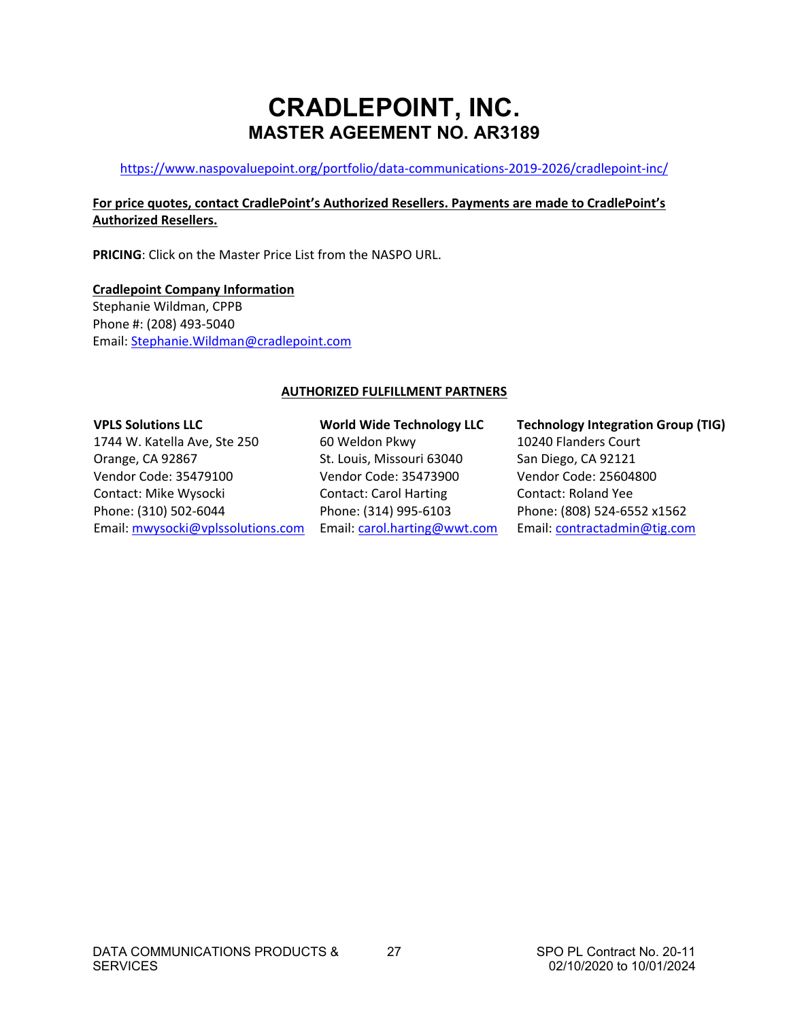# **CRADLEPOINT, INC. MASTER AGEEMENT NO. AR3189**

#### <https://www.naspovaluepoint.org/portfolio/data-communications-2019-2026/cradlepoint-inc/>

#### **For price quotes, contact CradlePoint's Authorized Resellers. Payments are made to CradlePoint's Authorized Resellers.**

**PRICING**: Click on the Master Price List from the NASPO URL.

**Cradlepoint Company Information** Stephanie Wildman, CPPB Phone #: (208) 493-5040 Email: [Stephanie.Wildman@cradlepoint.com](mailto:Stephanie.Wildman@cradlepoint.com) 

#### **AUTHORIZED FULFILLMENT PARTNERS**

#### **VPLS Solutions LLC**

1744 W. Katella Ave, Ste 250 Orange, CA 92867 Vendor Code: 35479100 Contact: Mike Wysocki Phone: (310) 502-6044 Email[: mwysocki@vplssolutions.com](mailto:mwysocki@vplssolutions.com) 

**World Wide Technology LLC** 60 Weldon Pkwy St. Louis, Missouri 63040 Vendor Code: 35473900 Contact: Carol Harting Phone: (314) 995-6103 Email: [carol.harting@wwt.com](mailto:carol.harting@wwt.com) **Technology Integration Group (TIG)** 10240 Flanders Court San Diego, CA 92121 Vendor Code: 25604800 Contact: Roland Yee Phone: (808) 524-6552 x1562 Email: [contractadmin@tig.com](mailto:contractadmin@tig.com)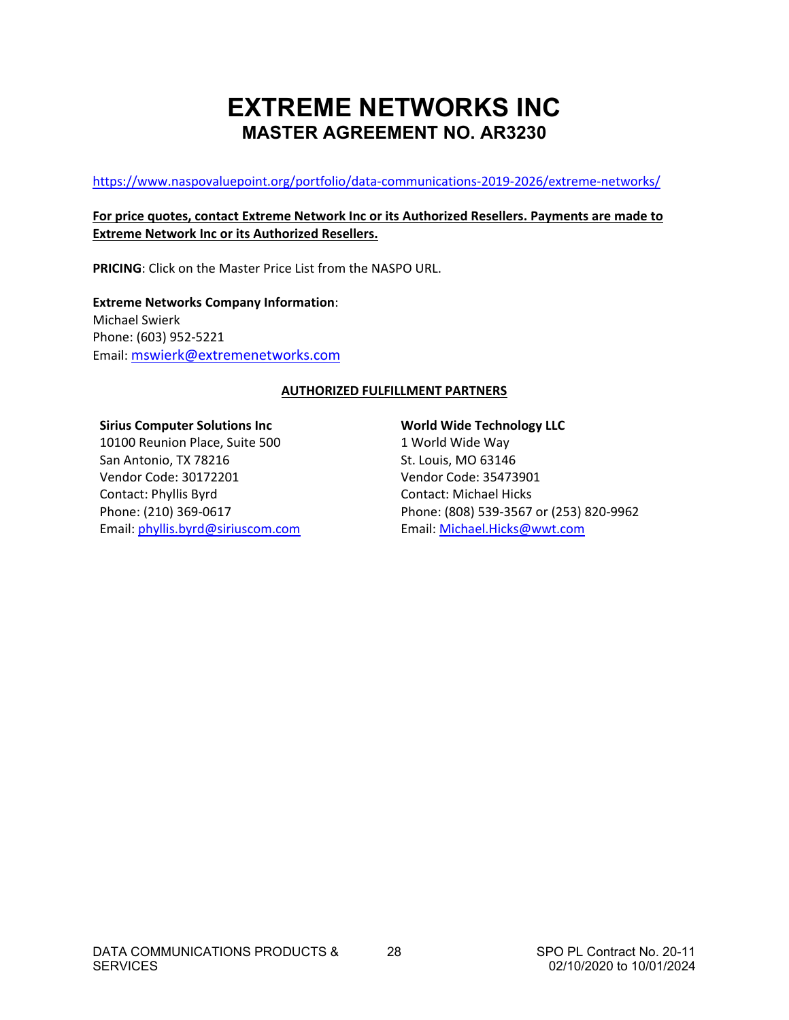# **EXTREME NETWORKS INC MASTER AGREEMENT NO. AR3230**

<span id="page-29-0"></span><https://www.naspovaluepoint.org/portfolio/data-communications-2019-2026/extreme-networks/>

#### **For price quotes, contact Extreme Network Inc or its Authorized Resellers. Payments are made to Extreme Network Inc or its Authorized Resellers.**

**PRICING**: Click on the Master Price List from the NASPO URL.

**Extreme Networks Company Information**: Michael Swierk Phone: (603) 952-5221 Email: [mswierk@extremenetworks.com](mailto:mswierk@extremenetworks.com)

#### **AUTHORIZED FULFILLMENT PARTNERS**

#### **Sirius Computer Solutions Inc**

10100 Reunion Place, Suite 500 San Antonio, TX 78216 Vendor Code: 30172201 Contact: Phyllis Byrd Phone: (210) 369-0617 Email: [phyllis.byrd@siriuscom.com](mailto:phyllis.byrd@siriuscom.com)

## **World Wide Technology LLC**

1 World Wide Way St. Louis, MO 63146 Vendor Code: 35473901 Contact: Michael Hicks Phone: (808) 539-3567 or (253) 820-9962 Email: [Michael.Hicks@wwt.com](mailto:Michael.Hicks@wwt.com)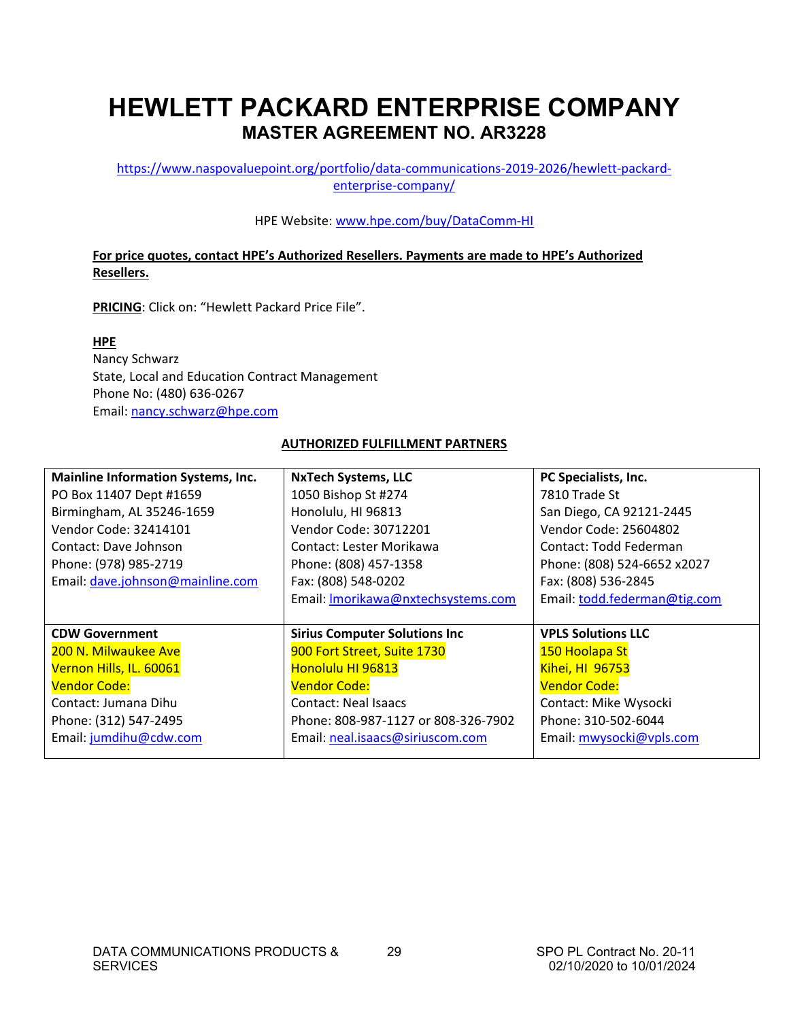# **HEWLETT PACKARD ENTERPRISE COMPANY MASTER AGREEMENT NO. AR3228**

[https://www.naspovaluepoint.org/portfolio/data-communications-2019-2026/hewlett-packard](https://www.naspovaluepoint.org/portfolio/data-communications-2019-2026/hewlett-packard-enterprise-company/)[enterprise-company/](https://www.naspovaluepoint.org/portfolio/data-communications-2019-2026/hewlett-packard-enterprise-company/)

#### HPE Website[: www.hpe.com/buy/DataComm-HI](http://www.hpe.com/buy/DataComm-HI)

### **For price quotes, contact HPE's Authorized Resellers. Payments are made to HPE's Authorized Resellers.**

**PRICING**: Click on: "Hewlett Packard Price File".

**HPE**  Nancy Schwarz State, Local and Education Contract Management Phone No: (480) 636-0267 Email: [nancy.schwarz@hpe.com](mailto:nancy.schwarz@hpe.com)

#### **AUTHORIZED FULFILLMENT PARTNERS**

| <b>Mainline Information Systems, Inc.</b> | <b>NxTech Systems, LLC</b>           | PC Specialists, Inc.         |
|-------------------------------------------|--------------------------------------|------------------------------|
| PO Box 11407 Dept #1659                   | 1050 Bishop St #274                  | 7810 Trade St                |
| Birmingham, AL 35246-1659                 | Honolulu, HI 96813                   | San Diego, CA 92121-2445     |
| Vendor Code: 32414101                     | Vendor Code: 30712201                | Vendor Code: 25604802        |
| Contact: Dave Johnson                     | Contact: Lester Morikawa             | Contact: Todd Federman       |
| Phone: (978) 985-2719                     | Phone: (808) 457-1358                | Phone: (808) 524-6652 x2027  |
| Email: dave.johnson@mainline.com          | Fax: (808) 548-0202                  | Fax: (808) 536-2845          |
|                                           | Email: Imorikawa@nxtechsystems.com   | Email: todd.federman@tig.com |
|                                           |                                      |                              |
|                                           |                                      |                              |
| <b>CDW Government</b>                     | <b>Sirius Computer Solutions Inc</b> | <b>VPLS Solutions LLC</b>    |
| 200 N. Milwaukee Ave                      | 900 Fort Street, Suite 1730          | 150 Hoolapa St               |
| Vernon Hills, IL. 60061                   | Honolulu HI 96813                    | <b>Kihei, HI 96753</b>       |
| <b>Vendor Code:</b>                       | <b>Vendor Code:</b>                  | <b>Vendor Code:</b>          |
| Contact: Jumana Dihu                      | Contact: Neal Isaacs                 | Contact: Mike Wysocki        |
| Phone: (312) 547-2495                     | Phone: 808-987-1127 or 808-326-7902  | Phone: 310-502-6044          |
| Email: jumdihu@cdw.com                    | Email: neal.isaacs@siriuscom.com     | Email: mwysocki@vpls.com     |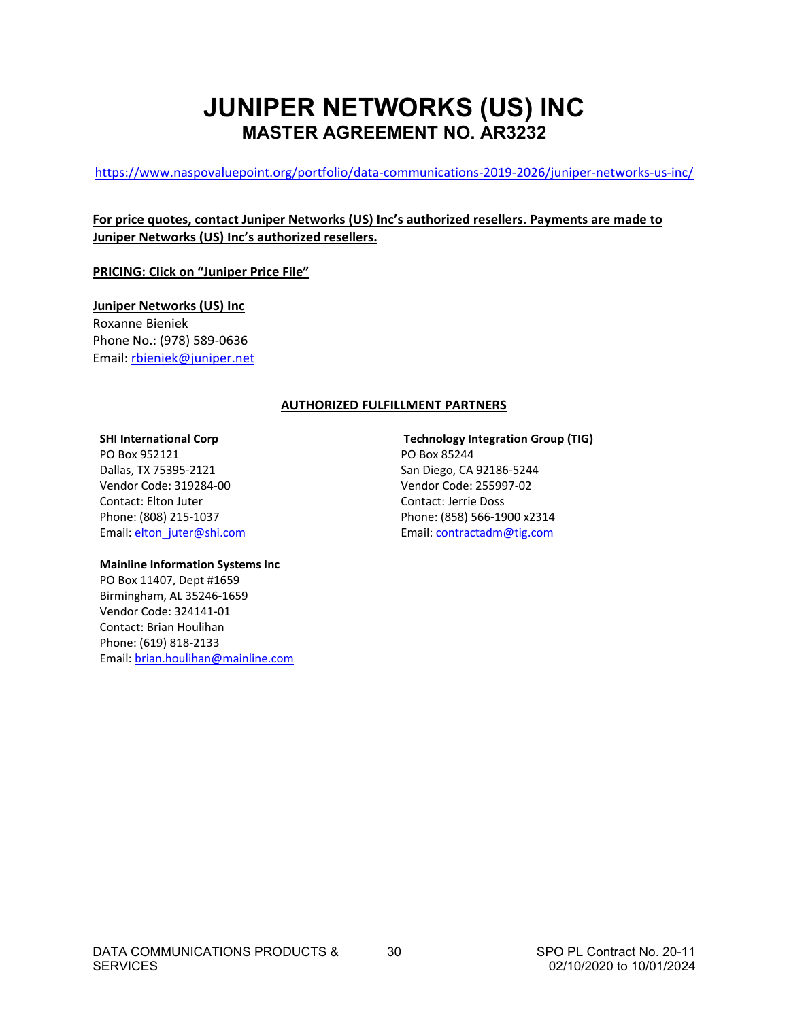# **JUNIPER NETWORKS (US) INC MASTER AGREEMENT NO. AR3232**

<span id="page-31-0"></span><https://www.naspovaluepoint.org/portfolio/data-communications-2019-2026/juniper-networks-us-inc/>

#### **For price quotes, contact Juniper Networks (US) Inc's authorized resellers. Payments are made to Juniper Networks (US) Inc's authorized resellers.**

**PRICING: Click on "Juniper Price File"**

**Juniper Networks (US) Inc** Roxanne Bieniek Phone No.: (978) 589-0636 Email: [rbieniek@juniper.net](mailto:rbieniek@juniper.net)

#### **AUTHORIZED FULFILLMENT PARTNERS**

#### **SHI International Corp**

PO Box 952121 Dallas, TX 75395-2121 Vendor Code: 319284-00 Contact: Elton Juter Phone: (808) 215-1037 Email: [elton\\_juter@shi.com](mailto:elton_juter@shi.com)

#### **Technology Integration Group (TIG)** PO Box 85244 San Diego, CA 92186-5244 Vendor Code: 255997-02 Contact: Jerrie Doss Phone: (858) 566-1900 x2314 Email[: contractadm@tig.com](mailto:contractadm@tig.com)

#### **Mainline Information Systems Inc**

PO Box 11407, Dept #1659 Birmingham, AL 35246-1659 Vendor Code: 324141-01 Contact: Brian Houlihan Phone: (619) 818-2133 Email[: brian.houlihan@mainline.com](mailto:brian.houlihan@mainline.com)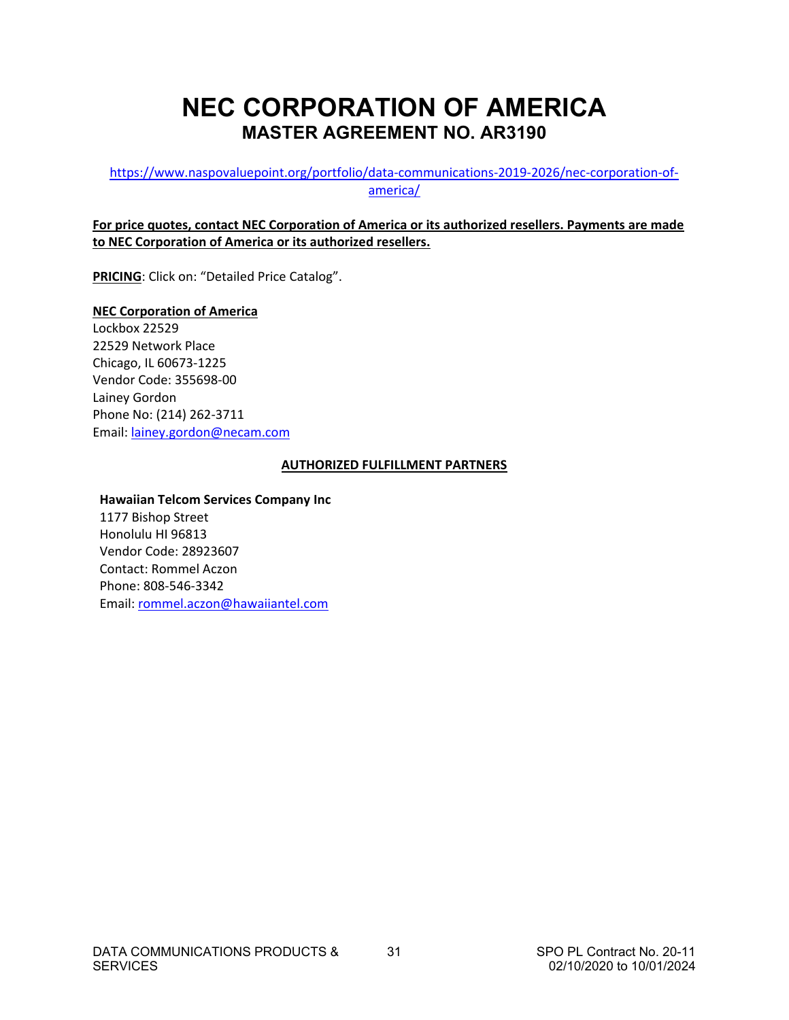# **NEC CORPORATION OF AMERICA MASTER AGREEMENT NO. AR3190**

#### [https://www.naspovaluepoint.org/portfolio/data-communications-2019-2026/nec-corporation-of](https://www.naspovaluepoint.org/portfolio/data-communications-2019-2026/nec-corporation-of-america/)[america/](https://www.naspovaluepoint.org/portfolio/data-communications-2019-2026/nec-corporation-of-america/)

#### **For price quotes, contact NEC Corporation of America or its authorized resellers. Payments are made to NEC Corporation of America or its authorized resellers.**

**PRICING**: Click on: "Detailed Price Catalog".

#### **NEC Corporation of America**  Lockbox 22529

22529 Network Place Chicago, IL 60673-1225 Vendor Code: 355698-00 Lainey Gordon Phone No: (214) 262-3711 Email: [lainey.gordon@necam.com](mailto:lainey.gordon@necam.com)

#### **AUTHORIZED FULFILLMENT PARTNERS**

#### **Hawaiian Telcom Services Company Inc**

1177 Bishop Street Honolulu HI 96813 Vendor Code: 28923607 Contact: Rommel Aczon Phone: 808-546-3342 Email: [rommel.aczon@hawaiiantel.com](mailto:rommel.aczon@hawaiiantel.com)